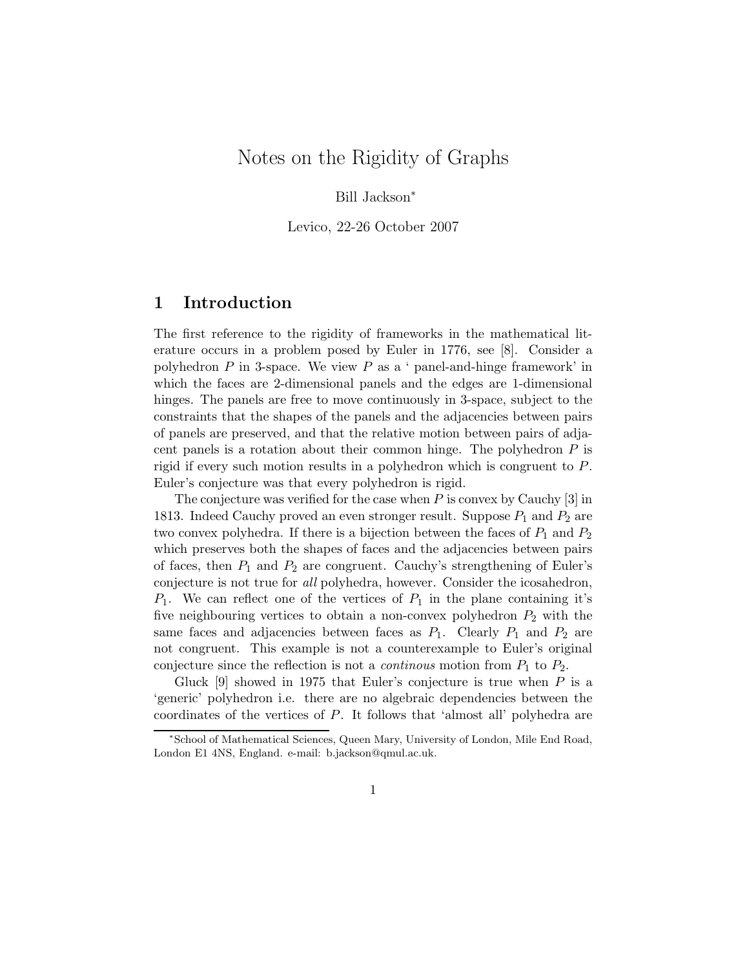# Notes on the Rigidity of Graphs

# Bill Jackson<sup>∗</sup>

Levico, 22-26 October 2007

# 1 Introduction

The first reference to the rigidity of frameworks in the mathematical literature occurs in a problem posed by Euler in 1776, see [8]. Consider a polyhedron  $P$  in 3-space. We view  $P$  as a ' panel-and-hinge framework' in which the faces are 2-dimensional panels and the edges are 1-dimensional hinges. The panels are free to move continuously in 3-space, subject to the constraints that the shapes of the panels and the adjacencies between pairs of panels are preserved, and that the relative motion between pairs of adjacent panels is a rotation about their common hinge. The polyhedron  $P$  is rigid if every such motion results in a polyhedron which is congruent to P. Euler's conjecture was that every polyhedron is rigid.

The conjecture was verified for the case when  $P$  is convex by Cauchy [3] in 1813. Indeed Cauchy proved an even stronger result. Suppose  $P_1$  and  $P_2$  are two convex polyhedra. If there is a bijection between the faces of  $P_1$  and  $P_2$ which preserves both the shapes of faces and the adjacencies between pairs of faces, then  $P_1$  and  $P_2$  are congruent. Cauchy's strengthening of Euler's conjecture is not true for all polyhedra, however. Consider the icosahedron,  $P_1$ . We can reflect one of the vertices of  $P_1$  in the plane containing it's five neighbouring vertices to obtain a non-convex polyhedron  $P_2$  with the same faces and adjacencies between faces as  $P_1$ . Clearly  $P_1$  and  $P_2$  are not congruent. This example is not a counterexample to Euler's original conjecture since the reflection is not a *continous* motion from  $P_1$  to  $P_2$ .

Gluck  $[9]$  showed in 1975 that Euler's conjecture is true when P is a 'generic' polyhedron i.e. there are no algebraic dependencies between the coordinates of the vertices of P. It follows that 'almost all' polyhedra are

<sup>∗</sup> School of Mathematical Sciences, Queen Mary, University of London, Mile End Road, London E1 4NS, England. e-mail: b.jackson@qmul.ac.uk.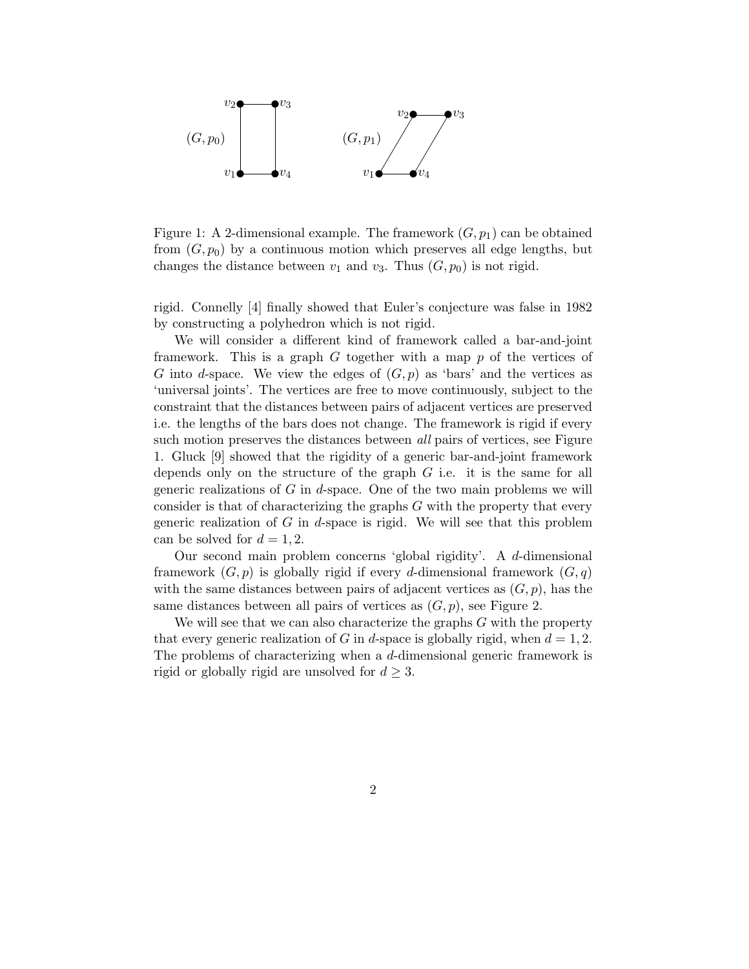

Figure 1: A 2-dimensional example. The framework  $(G, p_1)$  can be obtained from  $(G, p_0)$  by a continuous motion which preserves all edge lengths, but changes the distance between  $v_1$  and  $v_3$ . Thus  $(G, p_0)$  is not rigid.

rigid. Connelly [4] finally showed that Euler's conjecture was false in 1982 by constructing a polyhedron which is not rigid.

We will consider a different kind of framework called a bar-and-joint framework. This is a graph  $G$  together with a map  $p$  of the vertices of G into d-space. We view the edges of  $(G, p)$  as 'bars' and the vertices as 'universal joints'. The vertices are free to move continuously, subject to the constraint that the distances between pairs of adjacent vertices are preserved i.e. the lengths of the bars does not change. The framework is rigid if every such motion preserves the distances between all pairs of vertices, see Figure 1. Gluck [9] showed that the rigidity of a generic bar-and-joint framework depends only on the structure of the graph  $G$  i.e. it is the same for all generic realizations of  $G$  in d-space. One of the two main problems we will consider is that of characterizing the graphs  $G$  with the property that every generic realization of G in d-space is rigid. We will see that this problem can be solved for  $d = 1, 2$ .

Our second main problem concerns 'global rigidity'. A d-dimensional framework  $(G, p)$  is globally rigid if every d-dimensional framework  $(G, q)$ with the same distances between pairs of adjacent vertices as  $(G, p)$ , has the same distances between all pairs of vertices as  $(G, p)$ , see Figure 2.

We will see that we can also characterize the graphs G with the property that every generic realization of G in d-space is globally rigid, when  $d = 1, 2$ . The problems of characterizing when a d-dimensional generic framework is rigid or globally rigid are unsolved for  $d \geq 3$ .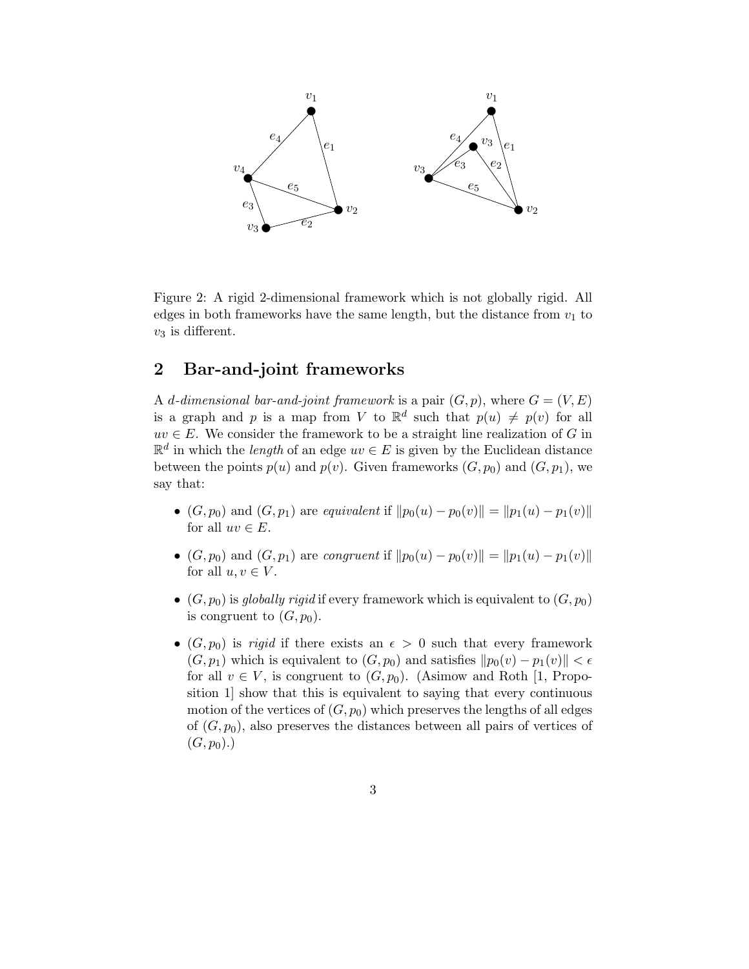

Figure 2: A rigid 2-dimensional framework which is not globally rigid. All edges in both frameworks have the same length, but the distance from  $v_1$  to  $v_3$  is different.

# 2 Bar-and-joint frameworks

A d-dimensional bar-and-joint framework is a pair  $(G, p)$ , where  $G = (V, E)$ is a graph and p is a map from V to  $\mathbb{R}^d$  such that  $p(u) \neq p(v)$  for all  $uv \in E$ . We consider the framework to be a straight line realization of G in  $\mathbb{R}^d$  in which the *length* of an edge  $uv \in E$  is given by the Euclidean distance between the points  $p(u)$  and  $p(v)$ . Given frameworks  $(G, p_0)$  and  $(G, p_1)$ , we say that:

- (G,  $p_0$ ) and  $(G, p_1)$  are equivalent if  $||p_0(u) p_0(v)|| = ||p_1(u) p_1(v)||$ for all  $uv \in E$ .
- (G, p<sub>0</sub>) and  $(G, p_1)$  are congruent if  $||p_0(u) p_0(v)|| = ||p_1(u) p_1(v)||$ for all  $u, v \in V$ .
- $(G, p_0)$  is globally rigid if every framework which is equivalent to  $(G, p_0)$ is congruent to  $(G, p_0)$ .
- $(G, p_0)$  is rigid if there exists an  $\epsilon > 0$  such that every framework  $(G, p_1)$  which is equivalent to  $(G, p_0)$  and satisfies  $||p_0(v) - p_1(v)|| < \epsilon$ for all  $v \in V$ , is congruent to  $(G, p_0)$ . (Asimow and Roth [1, Proposition 1] show that this is equivalent to saying that every continuous motion of the vertices of  $(G, p_0)$  which preserves the lengths of all edges of  $(G, p_0)$ , also preserves the distances between all pairs of vertices of  $(G, p_0)$ .)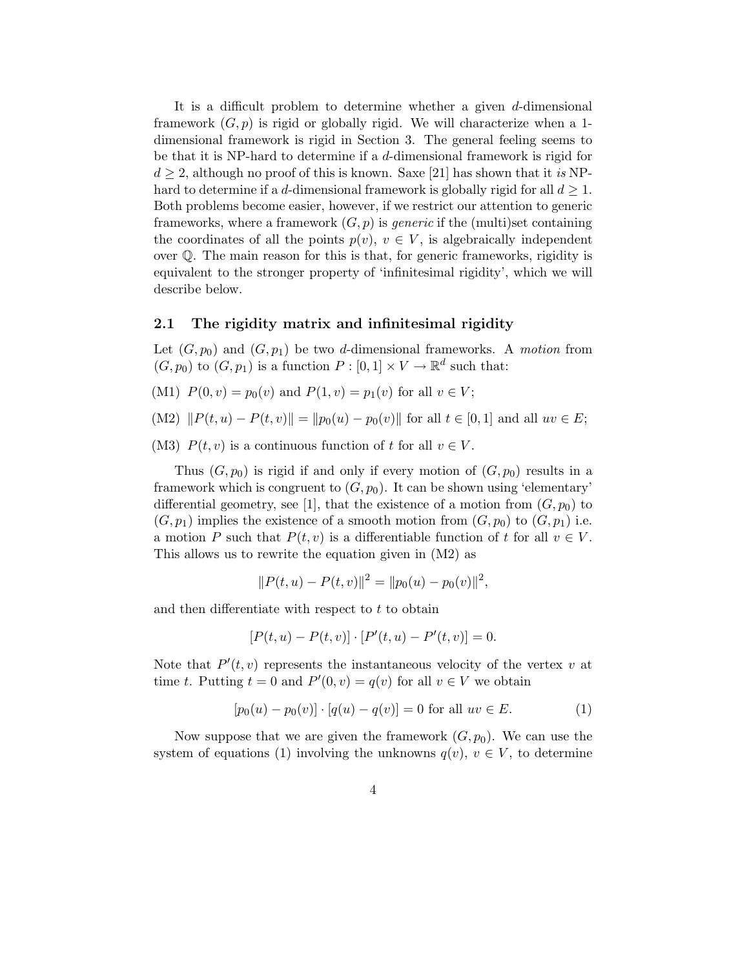It is a difficult problem to determine whether a given d-dimensional framework  $(G, p)$  is rigid or globally rigid. We will characterize when a 1dimensional framework is rigid in Section 3. The general feeling seems to be that it is NP-hard to determine if a d-dimensional framework is rigid for  $d \geq 2$ , although no proof of this is known. Saxe [21] has shown that it is NPhard to determine if a d-dimensional framework is globally rigid for all  $d \geq 1$ . Both problems become easier, however, if we restrict our attention to generic frameworks, where a framework  $(G, p)$  is *generic* if the (multi)set containing the coordinates of all the points  $p(v)$ ,  $v \in V$ , is algebraically independent over Q. The main reason for this is that, for generic frameworks, rigidity is equivalent to the stronger property of 'infinitesimal rigidity', which we will describe below.

## 2.1 The rigidity matrix and infinitesimal rigidity

Let  $(G, p_0)$  and  $(G, p_1)$  be two d-dimensional frameworks. A motion from  $(G, p_0)$  to  $(G, p_1)$  is a function  $P : [0, 1] \times V \to \mathbb{R}^d$  such that:

(M1)  $P(0, v) = p_0(v)$  and  $P(1, v) = p_1(v)$  for all  $v \in V$ ;

(M2)  $||P(t, u) - P(t, v)|| = ||p_0(u) - p_0(v)||$  for all  $t \in [0, 1]$  and all  $uv \in E$ ;

(M3)  $P(t, v)$  is a continuous function of t for all  $v \in V$ .

Thus  $(G, p_0)$  is rigid if and only if every motion of  $(G, p_0)$  results in a framework which is congruent to  $(G, p_0)$ . It can be shown using 'elementary' differential geometry, see [1], that the existence of a motion from  $(G, p_0)$  to  $(G, p_1)$  implies the existence of a smooth motion from  $(G, p_0)$  to  $(G, p_1)$  i.e. a motion P such that  $P(t, v)$  is a differentiable function of t for all  $v \in V$ . This allows us to rewrite the equation given in (M2) as

$$
||P(t, u) - P(t, v)||^2 = ||p_0(u) - p_0(v)||^2,
$$

and then differentiate with respect to  $t$  to obtain

$$
[P(t, u) - P(t, v)] \cdot [P'(t, u) - P'(t, v)] = 0.
$$

Note that  $P'(t, v)$  represents the instantaneous velocity of the vertex v at time t. Putting  $t = 0$  and  $P'(0, v) = q(v)$  for all  $v \in V$  we obtain

$$
[p_0(u) - p_0(v)] \cdot [q(u) - q(v)] = 0 \text{ for all } uv \in E.
$$
 (1)

Now suppose that we are given the framework  $(G, p_0)$ . We can use the system of equations (1) involving the unknowns  $q(v)$ ,  $v \in V$ , to determine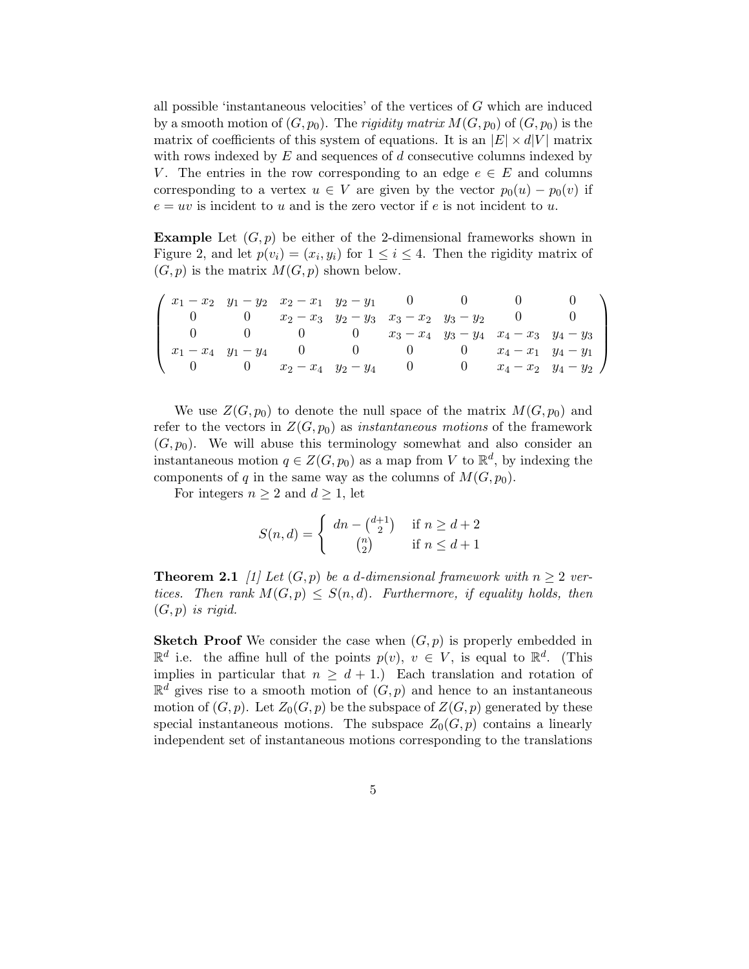all possible 'instantaneous velocities' of the vertices of G which are induced by a smooth motion of  $(G, p_0)$ . The rigidity matrix  $M(G, p_0)$  of  $(G, p_0)$  is the matrix of coefficients of this system of equations. It is an  $|E| \times d|V|$  matrix with rows indexed by  $E$  and sequences of  $d$  consecutive columns indexed by V. The entries in the row corresponding to an edge  $e \in E$  and columns corresponding to a vertex  $u \in V$  are given by the vector  $p_0(u) - p_0(v)$  if  $e = uv$  is incident to u and is the zero vector if e is not incident to u.

**Example** Let  $(G, p)$  be either of the 2-dimensional frameworks shown in Figure 2, and let  $p(v_i) = (x_i, y_i)$  for  $1 \leq i \leq 4$ . Then the rigidity matrix of  $(G, p)$  is the matrix  $M(G, p)$  shown below.

|                         | $x_1 - x_2$ $y_1 - y_2$ $x_2 - x_1$ $y_2 - y_1$ |  |  |                                                 |  |
|-------------------------|-------------------------------------------------|--|--|-------------------------------------------------|--|
|                         | $x_2 - x_3$ $y_2 - y_3$ $x_3 - x_2$ $y_3 - y_2$ |  |  |                                                 |  |
|                         |                                                 |  |  | $x_3 - x_4$ $y_3 - y_4$ $x_4 - x_3$ $y_4 - y_3$ |  |
| $x_1 - x_4$ $y_1 - y_4$ |                                                 |  |  | $x_4 - x_1$ $y_4 - y_1$                         |  |
|                         | $x_2 - x_4$ $y_2 - y_4$                         |  |  | $x_4 - x_2$ $y_4 - y_2$                         |  |

We use  $Z(G, p_0)$  to denote the null space of the matrix  $M(G, p_0)$  and refer to the vectors in  $Z(G, p_0)$  as *instantaneous motions* of the framework  $(G, p_0)$ . We will abuse this terminology somewhat and also consider an instantaneous motion  $q \in Z(G, p_0)$  as a map from V to  $\mathbb{R}^d$ , by indexing the components of q in the same way as the columns of  $M(G, p_0)$ .

For integers  $n \geq 2$  and  $d \geq 1$ , let

$$
S(n,d) = \begin{cases} dn - \binom{d+1}{2} & \text{if } n \ge d+2\\ \binom{n}{2} & \text{if } n \le d+1 \end{cases}
$$

**Theorem 2.1** [1] Let  $(G, p)$  be a d-dimensional framework with  $n \geq 2$  vertices. Then rank  $M(G, p) \leq S(n, d)$ . Furthermore, if equality holds, then  $(G, p)$  is rigid.

**Sketch Proof** We consider the case when  $(G, p)$  is properly embedded in  $\mathbb{R}^d$  i.e. the affine hull of the points  $p(v)$ ,  $v \in V$ , is equal to  $\mathbb{R}^d$ . (This implies in particular that  $n \geq d+1$ . Each translation and rotation of  $\mathbb{R}^d$  gives rise to a smooth motion of  $(G, p)$  and hence to an instantaneous motion of  $(G, p)$ . Let  $Z_0(G, p)$  be the subspace of  $Z(G, p)$  generated by these special instantaneous motions. The subspace  $Z_0(G, p)$  contains a linearly independent set of instantaneous motions corresponding to the translations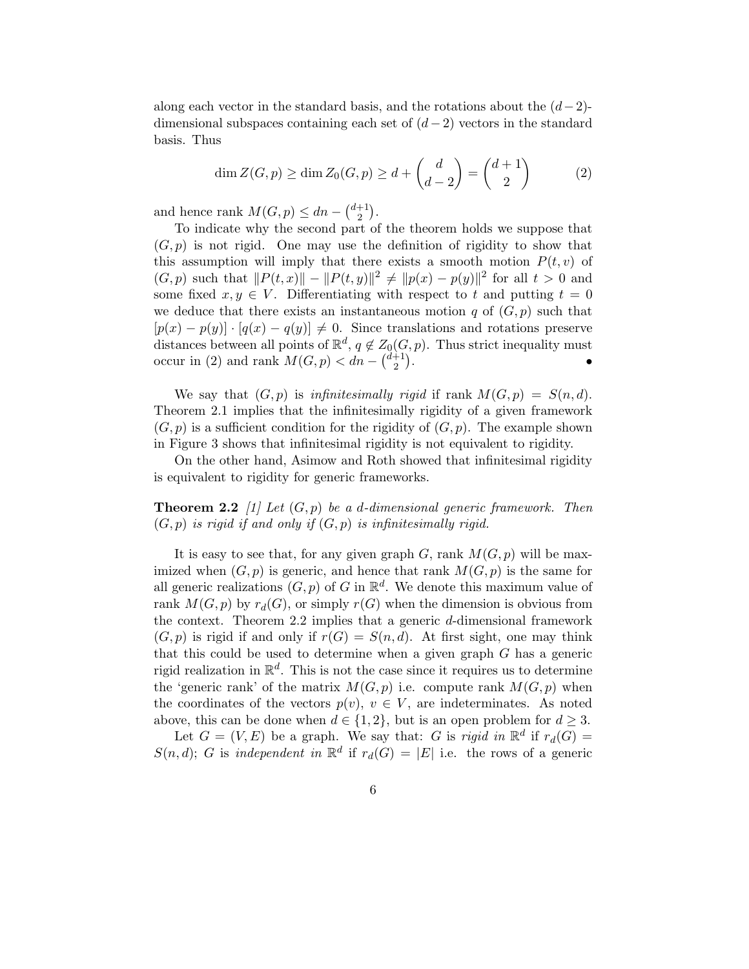along each vector in the standard basis, and the rotations about the  $(d-2)$ dimensional subspaces containing each set of  $(d-2)$  vectors in the standard basis. Thus

$$
\dim Z(G, p) \ge \dim Z_0(G, p) \ge d + \binom{d}{d-2} = \binom{d+1}{2} \tag{2}
$$

and hence rank  $M(G, p) \leq dn - \binom{d+1}{2}$  $_{2}^{+1}$ ).

To indicate why the second part of the theorem holds we suppose that  $(G, p)$  is not rigid. One may use the definition of rigidity to show that this assumption will imply that there exists a smooth motion  $P(t, v)$  of  $(G, p)$  such that  $||P(t, x)|| - ||P(t, y)||^2 \neq ||p(x) - p(y)||^2$  for all  $t > 0$  and some fixed  $x, y \in V$ . Differentiating with respect to t and putting  $t = 0$ we deduce that there exists an instantaneous motion q of  $(G, p)$  such that  $[p(x) - p(y)] \cdot [q(x) - q(y)] \neq 0$ . Since translations and rotations preserve distances between all points of  $\mathbb{R}^d$ ,  $q \notin Z_0(G, p)$ . Thus strict inequality must occur in (2) and rank  $M(G, p) < dn - \binom{d+1}{2}$  $_{2}^{+1})$ .  $\bullet$ 

We say that  $(G, p)$  is infinitesimally rigid if rank  $M(G, p) = S(n, d)$ . Theorem 2.1 implies that the infinitesimally rigidity of a given framework  $(G, p)$  is a sufficient condition for the rigidity of  $(G, p)$ . The example shown in Figure 3 shows that infinitesimal rigidity is not equivalent to rigidity.

On the other hand, Asimow and Roth showed that infinitesimal rigidity is equivalent to rigidity for generic frameworks.

**Theorem 2.2** [1] Let  $(G, p)$  be a d-dimensional generic framework. Then  $(G, p)$  is rigid if and only if  $(G, p)$  is infinitesimally rigid.

It is easy to see that, for any given graph  $G$ , rank  $M(G, p)$  will be maximized when  $(G, p)$  is generic, and hence that rank  $M(G, p)$  is the same for all generic realizations  $(G, p)$  of G in  $\mathbb{R}^d$ . We denote this maximum value of rank  $M(G, p)$  by  $r_d(G)$ , or simply  $r(G)$  when the dimension is obvious from the context. Theorem 2.2 implies that a generic d-dimensional framework  $(G, p)$  is rigid if and only if  $r(G) = S(n, d)$ . At first sight, one may think that this could be used to determine when a given graph G has a generic rigid realization in  $\mathbb{R}^d$ . This is not the case since it requires us to determine the 'generic rank' of the matrix  $M(G, p)$  i.e. compute rank  $M(G, p)$  when the coordinates of the vectors  $p(v)$ ,  $v \in V$ , are indeterminates. As noted above, this can be done when  $d \in \{1, 2\}$ , but is an open problem for  $d \geq 3$ .

Let  $G = (V, E)$  be a graph. We say that: G is rigid in  $\mathbb{R}^d$  if  $r_d(G) =$  $S(n,d)$ ; G is independent in  $\mathbb{R}^d$  if  $r_d(G) = |E|$  i.e. the rows of a generic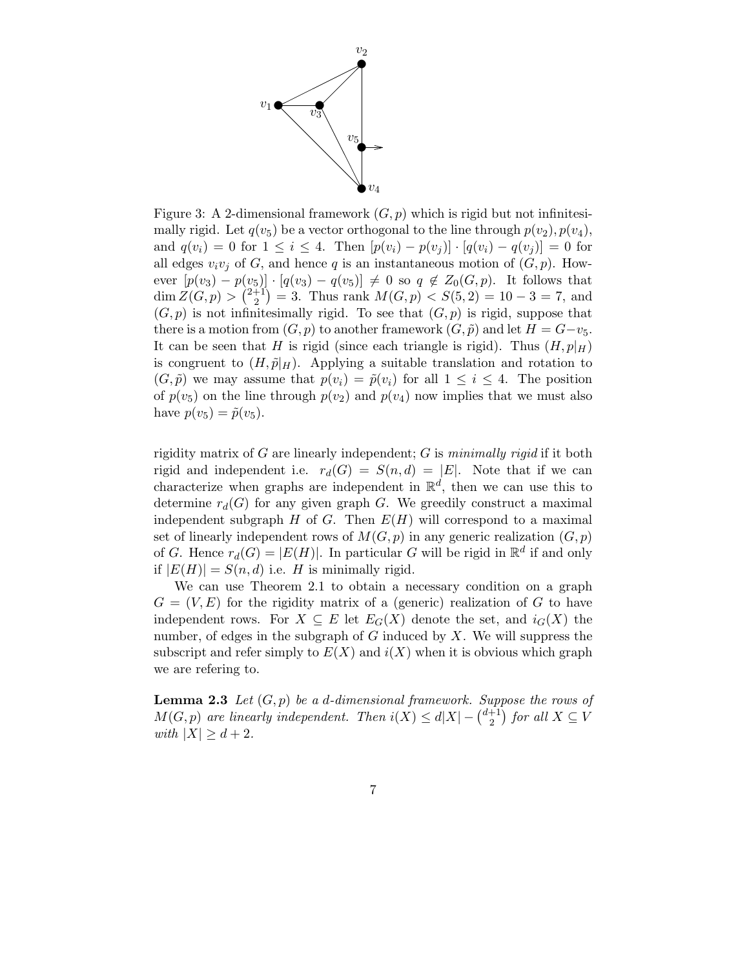

Figure 3: A 2-dimensional framework  $(G, p)$  which is rigid but not infinitesimally rigid. Let  $q(v_5)$  be a vector orthogonal to the line through  $p(v_2), p(v_4)$ , and  $q(v_i) = 0$  for  $1 \leq i \leq 4$ . Then  $[p(v_i) - p(v_j)] \cdot [q(v_i) - q(v_j)] = 0$  for all edges  $v_i v_j$  of G, and hence q is an instantaneous motion of  $(G, p)$ . However  $[p(v_3) - p(v_5)] \cdot [q(v_3) - q(v_5)] \neq 0$  so  $q \notin Z_0(G, p)$ . It follows that dim  $Z(G, p) > \binom{2+1}{2}$  $2^{+1}$ ) = 3. Thus rank  $M(G, p) < S(5, 2) = 10 - 3 = 7$ , and  $(G, p)$  is not infinitesimally rigid. To see that  $(G, p)$  is rigid, suppose that there is a motion from  $(G, p)$  to another framework  $(G, \tilde{p})$  and let  $H = G - v_5$ . It can be seen that H is rigid (since each triangle is rigid). Thus  $(H, p|_H)$ is congruent to  $(H, \tilde{p}|_H)$ . Applying a suitable translation and rotation to  $(G, \tilde{p})$  we may assume that  $p(v_i) = \tilde{p}(v_i)$  for all  $1 \leq i \leq 4$ . The position of  $p(v_5)$  on the line through  $p(v_2)$  and  $p(v_4)$  now implies that we must also have  $p(v_5) = \tilde{p}(v_5)$ .

rigidity matrix of G are linearly independent; G is minimally rigid if it both rigid and independent i.e.  $r_d(G) = S(n,d) = |E|$ . Note that if we can characterize when graphs are independent in  $\mathbb{R}^d$ , then we can use this to determine  $r_d(G)$  for any given graph G. We greedily construct a maximal independent subgraph  $H$  of  $G$ . Then  $E(H)$  will correspond to a maximal set of linearly independent rows of  $M(G, p)$  in any generic realization  $(G, p)$ of G. Hence  $r_d(G) = |E(H)|$ . In particular G will be rigid in  $\mathbb{R}^d$  if and only if  $|E(H)| = S(n, d)$  i.e. H is minimally rigid.

We can use Theorem 2.1 to obtain a necessary condition on a graph  $G = (V, E)$  for the rigidity matrix of a (generic) realization of G to have independent rows. For  $X \subseteq E$  let  $E_G(X)$  denote the set, and  $i_G(X)$  the number, of edges in the subgraph of  $G$  induced by  $X$ . We will suppress the subscript and refer simply to  $E(X)$  and  $i(X)$  when it is obvious which graph we are refering to.

**Lemma 2.3** Let  $(G, p)$  be a d-dimensional framework. Suppose the rows of  $M(G, p)$  are linearly independent. Then  $i(X) \le d|X| - \binom{d+1}{2}$  $j^{\text{+1}}$  for all  $X \subseteq V$ with  $|X| \geq d+2$ .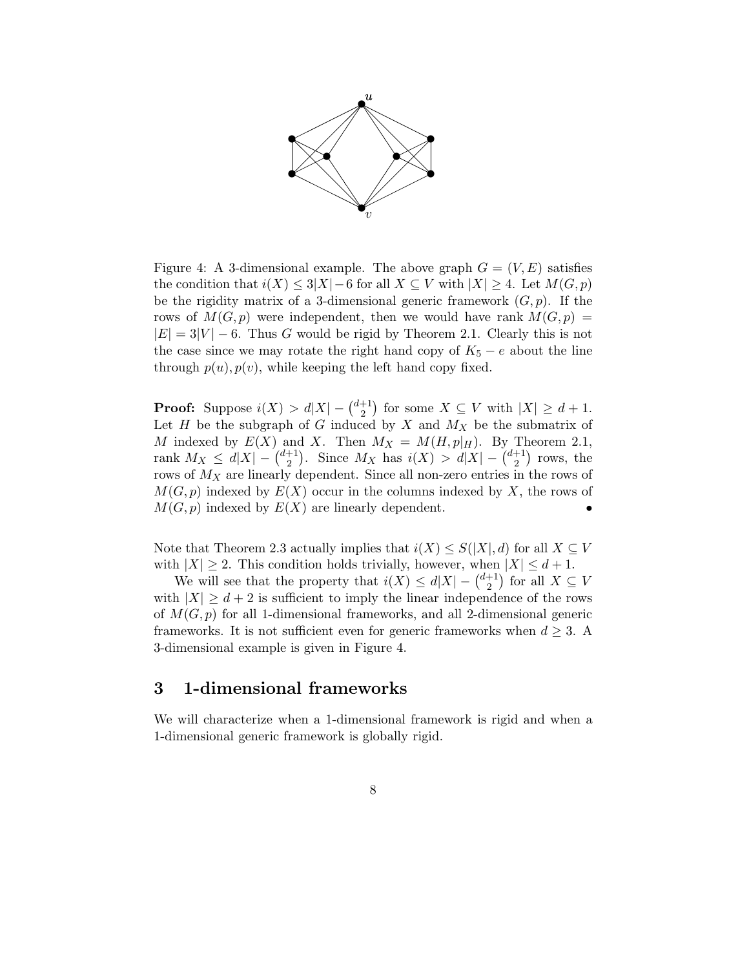

Figure 4: A 3-dimensional example. The above graph  $G = (V, E)$  satisfies the condition that  $i(X) \leq 3|X| - 6$  for all  $X \subseteq V$  with  $|X| \geq 4$ . Let  $M(G, p)$ be the rigidity matrix of a 3-dimensional generic framework  $(G, p)$ . If the rows of  $M(G, p)$  were independent, then we would have rank  $M(G, p)$  $|E| = 3|V| - 6$ . Thus G would be rigid by Theorem 2.1. Clearly this is not the case since we may rotate the right hand copy of  $K_5 - e$  about the line through  $p(u)$ ,  $p(v)$ , while keeping the left hand copy fixed.

**Proof:** Suppose  $i(X) > d|X| - \binom{d+1}{2}$  $\binom{+1}{2}$  for some  $X \subseteq V$  with  $|X| \geq d+1$ . Let  $H$  be the subgraph of  $G$  induced by  $X$  and  $M_X$  be the submatrix of M indexed by  $E(X)$  and X. Then  $M_X = M(H, p|_H)$ . By Theorem 2.1, rank  $M_X \leq d|X| - \binom{d+1}{2}$ <sup>+1</sup>). Since  $M_X$  has  $i(X) > d|X| - {d+1 \choose 2}$  $\binom{+1}{2}$  rows, the rows of  $M_X$  are linearly dependent. Since all non-zero entries in the rows of  $M(G, p)$  indexed by  $E(X)$  occur in the columns indexed by X, the rows of  $M(G, p)$  indexed by  $E(X)$  are linearly dependent.

Note that Theorem 2.3 actually implies that  $i(X) \leq S(|X|, d)$  for all  $X \subseteq V$ with  $|X| \ge 2$ . This condition holds trivially, however, when  $|X| \le d+1$ .

We will see that the property that  $i(X) \leq d|X| - \binom{d+1}{2}$  $\binom{+1}{2}$  for all  $X \subseteq V$ with  $|X| \geq d+2$  is sufficient to imply the linear independence of the rows of  $M(G, p)$  for all 1-dimensional frameworks, and all 2-dimensional generic frameworks. It is not sufficient even for generic frameworks when  $d \geq 3$ . A 3-dimensional example is given in Figure 4.

# 3 1-dimensional frameworks

We will characterize when a 1-dimensional framework is rigid and when a 1-dimensional generic framework is globally rigid.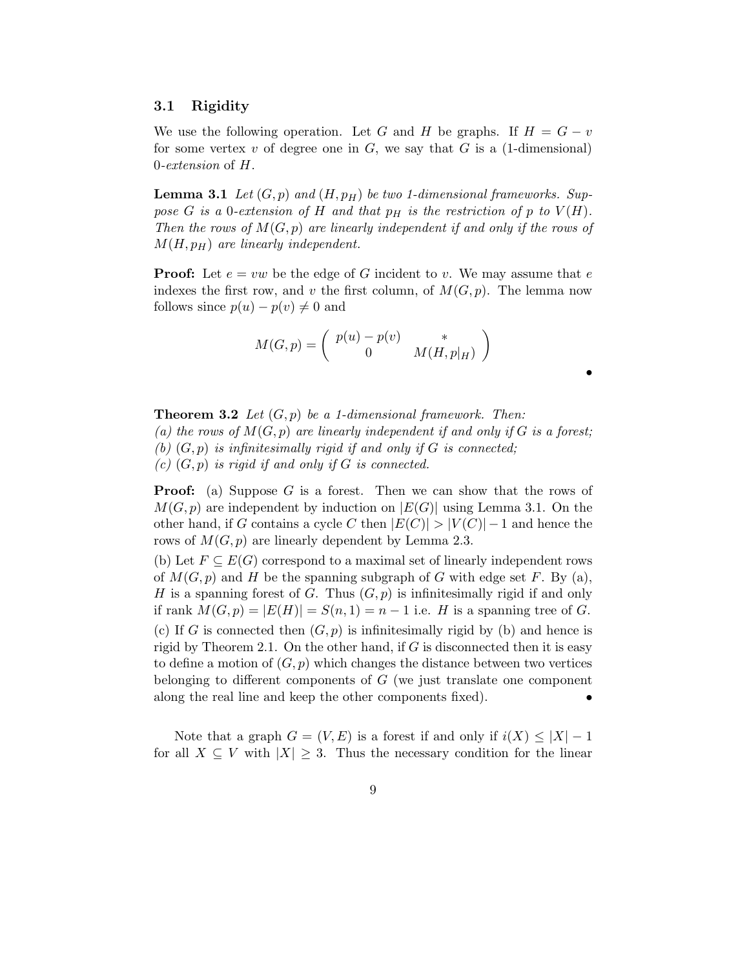## 3.1 Rigidity

We use the following operation. Let G and H be graphs. If  $H = G - v$ for some vertex  $v$  of degree one in  $G$ , we say that  $G$  is a (1-dimensional) 0-extension of H.

**Lemma 3.1** Let  $(G, p)$  and  $(H, p)$  be two 1-dimensional frameworks. Suppose G is a 0-extension of H and that  $p_H$  is the restriction of p to  $V(H)$ . Then the rows of  $M(G, p)$  are linearly independent if and only if the rows of  $M(H, p)$  are linearly independent.

**Proof:** Let  $e = vw$  be the edge of G incident to v. We may assume that e indexes the first row, and v the first column, of  $M(G, p)$ . The lemma now follows since  $p(u) - p(v) \neq 0$  and

$$
M(G,p) = \left(\begin{array}{cc}p(u) - p(v) & * \\0 & M(H,p|_H)\end{array}\right)
$$

•

**Theorem 3.2** Let  $(G, p)$  be a 1-dimensional framework. Then: (a) the rows of  $M(G, p)$  are linearly independent if and only if G is a forest; (b)  $(G, p)$  is infinitesimally rigid if and only if G is connected;  $(c)$   $(G, p)$  is rigid if and only if G is connected.

**Proof:** (a) Suppose G is a forest. Then we can show that the rows of  $M(G, p)$  are independent by induction on  $|E(G)|$  using Lemma 3.1. On the other hand, if G contains a cycle C then  $|E(C)| > |V(C)| - 1$  and hence the rows of  $M(G, p)$  are linearly dependent by Lemma 2.3.

(b) Let  $F \subseteq E(G)$  correspond to a maximal set of linearly independent rows of  $M(G, p)$  and H be the spanning subgraph of G with edge set F. By (a), H is a spanning forest of G. Thus  $(G, p)$  is infinitesimally rigid if and only if rank  $M(G, p) = |E(H)| = S(n, 1) = n - 1$  i.e. H is a spanning tree of G. (c) If G is connected then  $(G, p)$  is infinitesimally rigid by (b) and hence is rigid by Theorem 2.1. On the other hand, if  $G$  is disconnected then it is easy to define a motion of  $(G, p)$  which changes the distance between two vertices belonging to different components of  $G$  (we just translate one component along the real line and keep the other components fixed). •

Note that a graph  $G = (V, E)$  is a forest if and only if  $i(X) \leq |X| - 1$ for all  $X \subseteq V$  with  $|X| \geq 3$ . Thus the necessary condition for the linear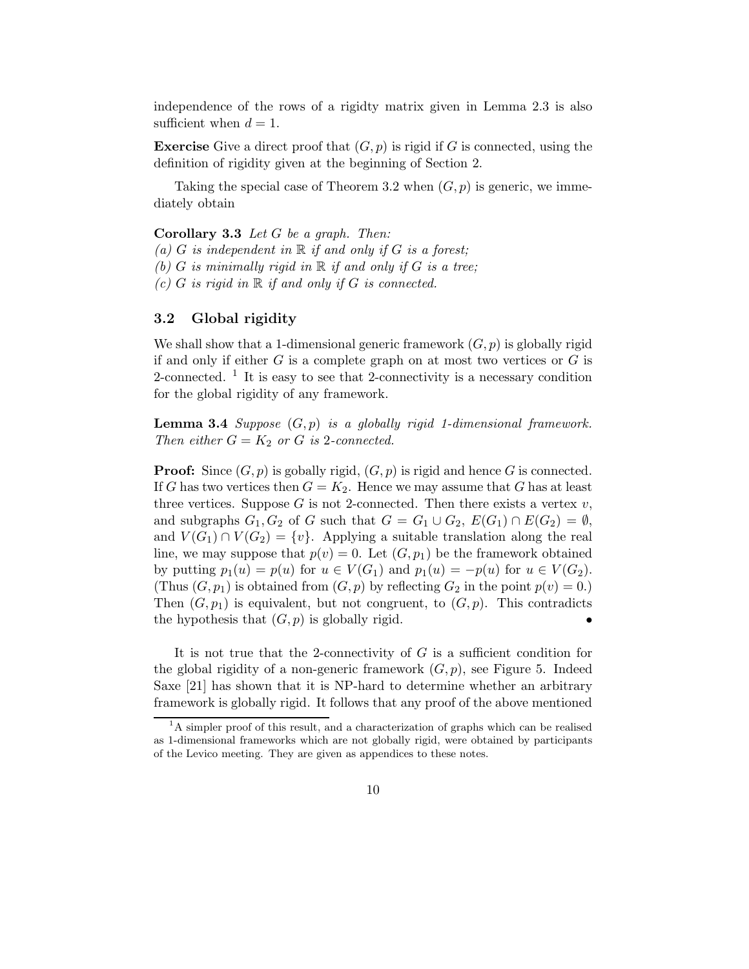independence of the rows of a rigidty matrix given in Lemma 2.3 is also sufficient when  $d = 1$ .

**Exercise** Give a direct proof that  $(G, p)$  is rigid if G is connected, using the definition of rigidity given at the beginning of Section 2.

Taking the special case of Theorem 3.2 when  $(G, p)$  is generic, we immediately obtain

#### **Corollary 3.3** Let  $G$  be a graph. Then:

(a) G is independent in  $\mathbb R$  if and only if G is a forest; (b) G is minimally rigid in  $\mathbb R$  if and only if G is a tree; (c) G is rigid in  $\mathbb R$  if and only if G is connected.

# 3.2 Global rigidity

We shall show that a 1-dimensional generic framework  $(G, p)$  is globally rigid if and only if either  $G$  is a complete graph on at most two vertices or  $G$  is 2-connected.  $\frac{1}{1}$  It is easy to see that 2-connectivity is a necessary condition for the global rigidity of any framework.

**Lemma 3.4** Suppose  $(G, p)$  is a globally rigid 1-dimensional framework. Then either  $G = K_2$  or G is 2-connected.

**Proof:** Since  $(G, p)$  is gobally rigid,  $(G, p)$  is rigid and hence G is connected. If G has two vertices then  $G = K_2$ . Hence we may assume that G has at least three vertices. Suppose  $G$  is not 2-connected. Then there exists a vertex  $v$ , and subgraphs  $G_1, G_2$  of G such that  $G = G_1 \cup G_2$ ,  $E(G_1) \cap E(G_2) = \emptyset$ , and  $V(G_1) \cap V(G_2) = \{v\}.$  Applying a suitable translation along the real line, we may suppose that  $p(v) = 0$ . Let  $(G, p_1)$  be the framework obtained by putting  $p_1(u) = p(u)$  for  $u \in V(G_1)$  and  $p_1(u) = -p(u)$  for  $u \in V(G_2)$ . (Thus  $(G, p_1)$  is obtained from  $(G, p)$  by reflecting  $G_2$  in the point  $p(v) = 0$ .) Then  $(G, p_1)$  is equivalent, but not congruent, to  $(G, p)$ . This contradicts the hypothesis that  $(G, p)$  is globally rigid.

It is not true that the 2-connectivity of  $G$  is a sufficient condition for the global rigidity of a non-generic framework  $(G, p)$ , see Figure 5. Indeed Saxe [21] has shown that it is NP-hard to determine whether an arbitrary framework is globally rigid. It follows that any proof of the above mentioned

 ${}^{1}$ A simpler proof of this result, and a characterization of graphs which can be realised as 1-dimensional frameworks which are not globally rigid, were obtained by participants of the Levico meeting. They are given as appendices to these notes.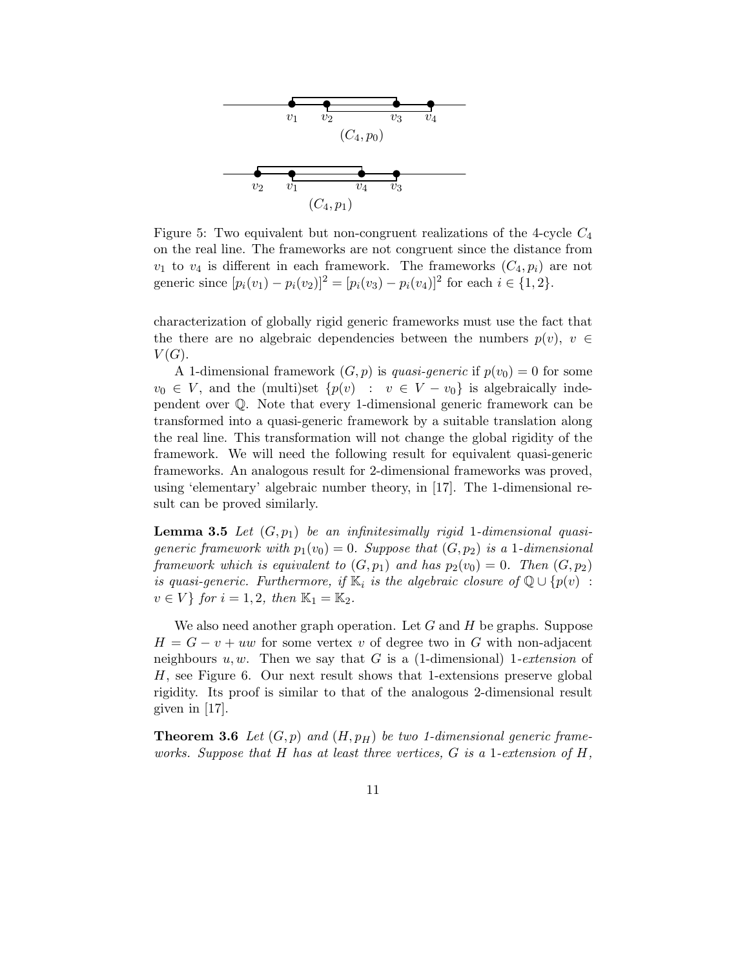

Figure 5: Two equivalent but non-congruent realizations of the 4-cycle  $C_4$ on the real line. The frameworks are not congruent since the distance from  $v_1$  to  $v_4$  is different in each framework. The frameworks  $(C_4, p_i)$  are not generic since  $[p_i(v_1) - p_i(v_2)]^2 = [p_i(v_3) - p_i(v_4)]^2$  for each  $i \in \{1, 2\}$ .

characterization of globally rigid generic frameworks must use the fact that the there are no algebraic dependencies between the numbers  $p(v)$ ,  $v \in$  $V(G).$ 

A 1-dimensional framework  $(G, p)$  is quasi-generic if  $p(v_0) = 0$  for some  $v_0 \in V$ , and the (multi)set  $\{p(v) : v \in V - v_0\}$  is algebraically independent over Q. Note that every 1-dimensional generic framework can be transformed into a quasi-generic framework by a suitable translation along the real line. This transformation will not change the global rigidity of the framework. We will need the following result for equivalent quasi-generic frameworks. An analogous result for 2-dimensional frameworks was proved, using 'elementary' algebraic number theory, in [17]. The 1-dimensional result can be proved similarly.

**Lemma 3.5** Let  $(G, p_1)$  be an infinitesimally rigid 1-dimensional quasigeneric framework with  $p_1(v_0) = 0$ . Suppose that  $(G, p_2)$  is a 1-dimensional framework which is equivalent to  $(G, p_1)$  and has  $p_2(v_0) = 0$ . Then  $(G, p_2)$ is quasi-generic. Furthermore, if  $\mathbb{K}_i$  is the algebraic closure of  $\mathbb{Q} \cup \{p(v)$ :  $v \in V$  for  $i = 1, 2$ , then  $\mathbb{K}_1 = \mathbb{K}_2$ .

We also need another graph operation. Let  $G$  and  $H$  be graphs. Suppose  $H = G - v + uw$  for some vertex v of degree two in G with non-adjacent neighbours  $u, w$ . Then we say that G is a (1-dimensional) 1-extension of H, see Figure 6. Our next result shows that 1-extensions preserve global rigidity. Its proof is similar to that of the analogous 2-dimensional result given in [17].

**Theorem 3.6** Let  $(G, p)$  and  $(H, p)$  be two 1-dimensional generic frameworks. Suppose that  $H$  has at least three vertices,  $G$  is a 1-extension of  $H$ ,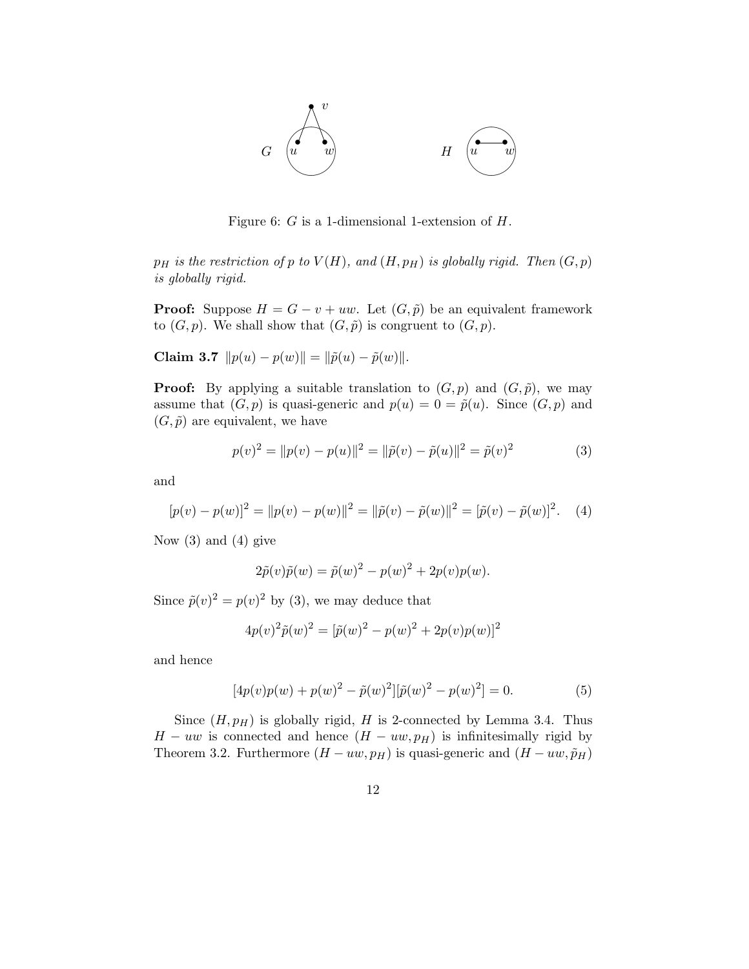

Figure 6: G is a 1-dimensional 1-extension of H.

 $p_H$  is the restriction of p to  $V(H)$ , and  $(H, p_H)$  is globally rigid. Then  $(G, p)$ is globally rigid.

**Proof:** Suppose  $H = G - v + uw$ . Let  $(G, \tilde{p})$  be an equivalent framework to  $(G, p)$ . We shall show that  $(G, \tilde{p})$  is congruent to  $(G, p)$ .

Claim 3.7  $\|p(u) - p(w)\| = \|\tilde{p}(u) - \tilde{p}(w)\|.$ 

**Proof:** By applying a suitable translation to  $(G, p)$  and  $(G, \tilde{p})$ , we may assume that  $(G, p)$  is quasi-generic and  $p(u) = 0 = \tilde{p}(u)$ . Since  $(G, p)$  and  $(G, \tilde{p})$  are equivalent, we have

$$
p(v)^{2} = ||p(v) - p(u)||^{2} = ||\tilde{p}(v) - \tilde{p}(u)||^{2} = \tilde{p}(v)^{2}
$$
 (3)

and

$$
[p(v) - p(w)]^2 = ||p(v) - p(w)||^2 = ||\tilde{p}(v) - \tilde{p}(w)||^2 = [\tilde{p}(v) - \tilde{p}(w)]^2.
$$
 (4)

Now  $(3)$  and  $(4)$  give

$$
2\tilde{p}(v)\tilde{p}(w) = \tilde{p}(w)^{2} - p(w)^{2} + 2p(v)p(w).
$$

Since  $\tilde{p}(v)^2 = p(v)^2$  by (3), we may deduce that

$$
4p(v)^{2}\tilde{p}(w)^{2} = [\tilde{p}(w)^{2} - p(w)^{2} + 2p(v)p(w)]^{2}
$$

and hence

$$
[4p(v)p(w) + p(w)^{2} - \tilde{p}(w)^{2}][\tilde{p}(w)^{2} - p(w)^{2}] = 0.
$$
 (5)

Since  $(H, p)$  is globally rigid, H is 2-connected by Lemma 3.4. Thus  $H - uw$  is connected and hence  $(H - uw, p)$  is infinitesimally rigid by Theorem 3.2. Furthermore  $(H - uw, p_H)$  is quasi-generic and  $(H - uw, \tilde{p}_H)$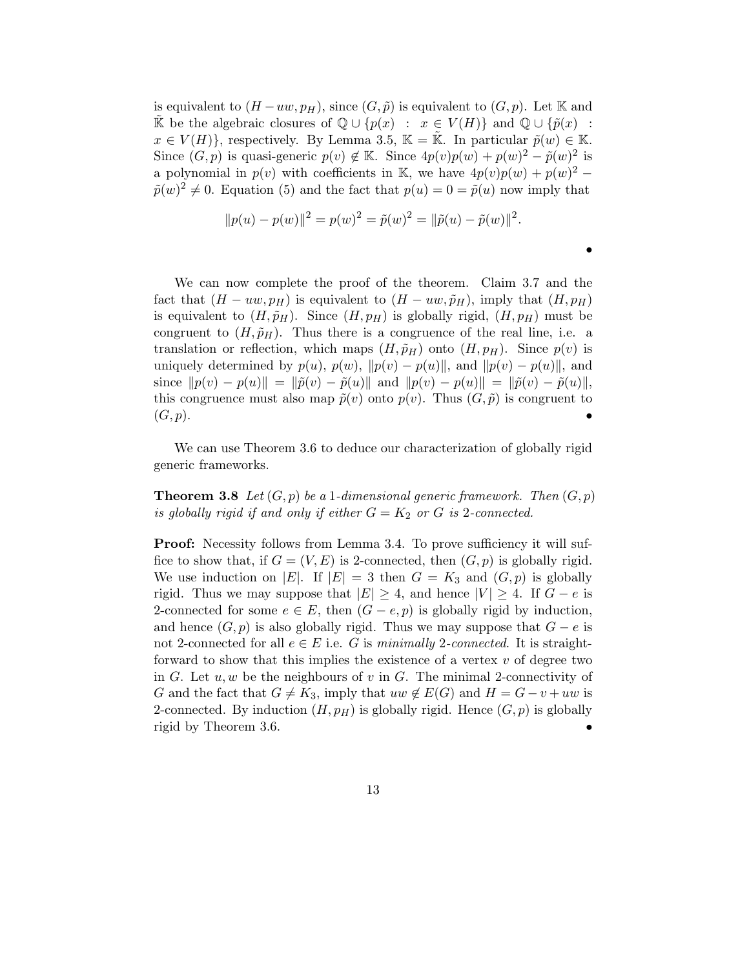is equivalent to  $(H - uw, p_H)$ , since  $(G, \tilde{p})$  is equivalent to  $(G, p)$ . Let K and K be the algebraic closures of  $\mathbb{Q} \cup \{p(x) : x \in V(H)\}\$ and  $\mathbb{Q} \cup \{\tilde{p}(x)$ :  $x \in V(H)$ , respectively. By Lemma 3.5, K = K. In particular  $\tilde{p}(w) \in \mathbb{K}$ . Since  $(G, p)$  is quasi-generic  $p(v) \notin \mathbb{K}$ . Since  $4p(v)p(w) + p(w)^2 - \tilde{p}(w)^2$  is a polynomial in  $p(v)$  with coefficients in K, we have  $4p(v)p(w) + p(w)^2$  $\tilde{p}(w)^2 \neq 0$ . Equation (5) and the fact that  $p(u) = 0 = \tilde{p}(u)$  now imply that

$$
||p(u) - p(w)||^2 = p(w)^2 = \tilde{p}(w)^2 = ||\tilde{p}(u) - \tilde{p}(w)||^2.
$$

•

We can now complete the proof of the theorem. Claim 3.7 and the fact that  $(H - uw, p_H)$  is equivalent to  $(H - uw, \tilde{p}_H)$ , imply that  $(H, p_H)$ is equivalent to  $(H, \tilde{p}_H)$ . Since  $(H, p_H)$  is globally rigid,  $(H, p_H)$  must be congruent to  $(H, \tilde{p}_H)$ . Thus there is a congruence of the real line, i.e. a translation or reflection, which maps  $(H, \tilde{p}_H)$  onto  $(H, p_H)$ . Since  $p(v)$  is uniquely determined by  $p(u)$ ,  $p(w)$ ,  $||p(v) - p(u)||$ , and  $||p(v) - p(u)||$ , and since  $||p(v) - p(u)|| = ||\tilde{p}(v) - \tilde{p}(u)||$  and  $||p(v) - p(u)|| = ||\tilde{p}(v) - \tilde{p}(u)||$ , this congruence must also map  $\tilde{p}(v)$  onto  $p(v)$ . Thus  $(G, \tilde{p})$  is congruent to  $(G, p).$ 

We can use Theorem 3.6 to deduce our characterization of globally rigid generic frameworks.

**Theorem 3.8** Let  $(G, p)$  be a 1-dimensional generic framework. Then  $(G, p)$ is globally rigid if and only if either  $G = K_2$  or G is 2-connected.

**Proof:** Necessity follows from Lemma 3.4. To prove sufficiency it will suffice to show that, if  $G = (V, E)$  is 2-connected, then  $(G, p)$  is globally rigid. We use induction on |E|. If  $|E| = 3$  then  $G = K_3$  and  $(G, p)$  is globally rigid. Thus we may suppose that  $|E| \geq 4$ , and hence  $|V| \geq 4$ . If  $G - e$  is 2-connected for some  $e \in E$ , then  $(G - e, p)$  is globally rigid by induction, and hence  $(G, p)$  is also globally rigid. Thus we may suppose that  $G - e$  is not 2-connected for all  $e \in E$  i.e. G is minimally 2-connected. It is straightforward to show that this implies the existence of a vertex  $v$  of degree two in G. Let  $u, w$  be the neighbours of v in G. The minimal 2-connectivity of G and the fact that  $G \neq K_3$ , imply that  $uw \notin E(G)$  and  $H = G - v + uw$  is 2-connected. By induction  $(H, p_H)$  is globally rigid. Hence  $(G, p)$  is globally rigid by Theorem 3.6. •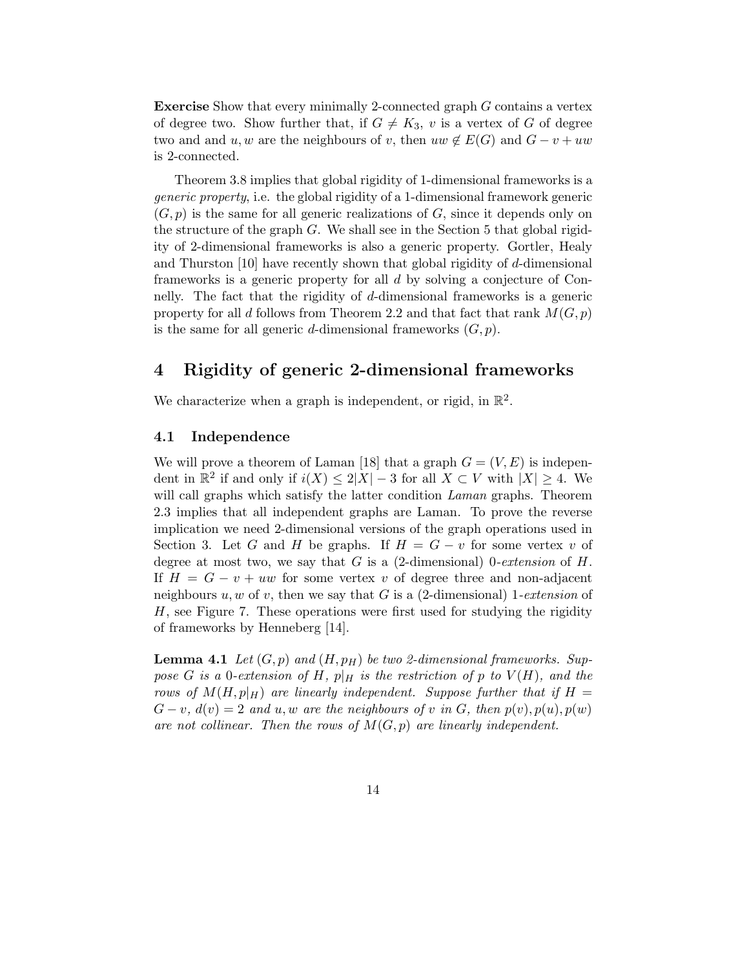**Exercise** Show that every minimally 2-connected graph  $G$  contains a vertex of degree two. Show further that, if  $G \neq K_3$ , v is a vertex of G of degree two and and u, w are the neighbours of v, then  $uw \notin E(G)$  and  $G - v + uw$ is 2-connected.

Theorem 3.8 implies that global rigidity of 1-dimensional frameworks is a generic property, i.e. the global rigidity of a 1-dimensional framework generic  $(G, p)$  is the same for all generic realizations of G, since it depends only on the structure of the graph  $G$ . We shall see in the Section 5 that global rigidity of 2-dimensional frameworks is also a generic property. Gortler, Healy and Thurston  $[10]$  have recently shown that global rigidity of d-dimensional frameworks is a generic property for all d by solving a conjecture of Connelly. The fact that the rigidity of d-dimensional frameworks is a generic property for all d follows from Theorem 2.2 and that fact that rank  $M(G, p)$ is the same for all generic d-dimensional frameworks  $(G, p)$ .

# 4 Rigidity of generic 2-dimensional frameworks

We characterize when a graph is independent, or rigid, in  $\mathbb{R}^2$ .

# 4.1 Independence

We will prove a theorem of Laman [18] that a graph  $G = (V, E)$  is independent in  $\mathbb{R}^2$  if and only if  $i(X) \leq 2|X| - 3$  for all  $X \subset V$  with  $|X| \geq 4$ . We will call graphs which satisfy the latter condition Laman graphs. Theorem 2.3 implies that all independent graphs are Laman. To prove the reverse implication we need 2-dimensional versions of the graph operations used in Section 3. Let G and H be graphs. If  $H = G - v$  for some vertex v of degree at most two, we say that  $G$  is a (2-dimensional) 0-extension of  $H$ . If  $H = G - v + uw$  for some vertex v of degree three and non-adjacent neighbours u, w of v, then we say that G is a  $(2\t{-dimensional})$  1-extension of H, see Figure 7. These operations were first used for studying the rigidity of frameworks by Henneberg [14].

**Lemma 4.1** Let  $(G, p)$  and  $(H, p)$  be two 2-dimensional frameworks. Suppose G is a 0-extension of H,  $p|_H$  is the restriction of p to  $V(H)$ , and the rows of  $M(H, p|_H)$  are linearly independent. Suppose further that if  $H =$  $G - v$ ,  $d(v) = 2$  and u, w are the neighbours of v in G, then  $p(v)$ ,  $p(u)$ ,  $p(w)$ are not collinear. Then the rows of  $M(G, p)$  are linearly independent.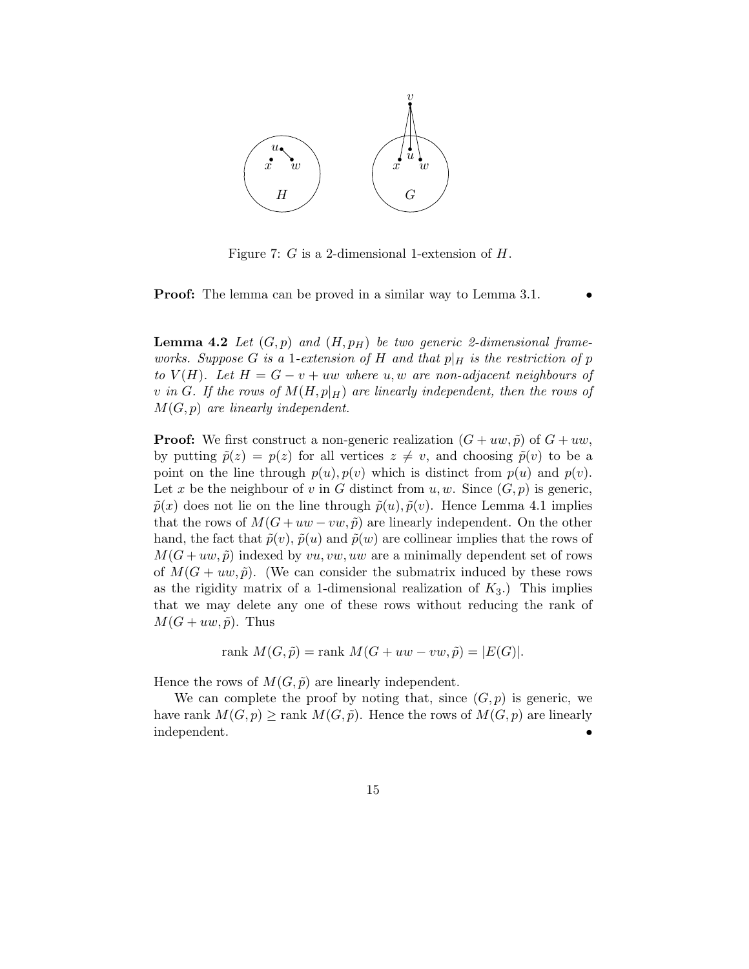

Figure 7: G is a 2-dimensional 1-extension of H.

**Proof:** The lemma can be proved in a similar way to Lemma 3.1.

**Lemma 4.2** Let  $(G, p)$  and  $(H, p)$  be two generic 2-dimensional frameworks. Suppose G is a 1-extension of H and that  $p|_H$  is the restriction of p to  $V(H)$ . Let  $H = G - v + uw$  where u, w are non-adjacent neighbours of v in G. If the rows of  $M(H, p|_H)$  are linearly independent, then the rows of  $M(G, p)$  are linearly independent.

**Proof:** We first construct a non-generic realization  $(G + uw, \tilde{p})$  of  $G + uw$ , by putting  $\tilde{p}(z) = p(z)$  for all vertices  $z \neq v$ , and choosing  $\tilde{p}(v)$  to be a point on the line through  $p(u), p(v)$  which is distinct from  $p(u)$  and  $p(v)$ . Let x be the neighbour of v in G distinct from  $u, w$ . Since  $(G, p)$  is generic,  $\tilde{p}(x)$  does not lie on the line through  $\tilde{p}(u)$ ,  $\tilde{p}(v)$ . Hence Lemma 4.1 implies that the rows of  $M(G+uw-vw,\tilde{p})$  are linearly independent. On the other hand, the fact that  $\tilde{p}(v)$ ,  $\tilde{p}(u)$  and  $\tilde{p}(w)$  are collinear implies that the rows of  $M(G+uw,\tilde{p})$  indexed by vu, vw, uw are a minimally dependent set of rows of  $M(G + uw, \tilde{p})$ . (We can consider the submatrix induced by these rows as the rigidity matrix of a 1-dimensional realization of  $K_3$ .) This implies that we may delete any one of these rows without reducing the rank of  $M(G + uw, \tilde{p})$ . Thus

$$
rank M(G, \tilde{p}) = rank M(G + uw - vw, \tilde{p}) = |E(G)|.
$$

Hence the rows of  $M(G, \tilde{p})$  are linearly independent.

We can complete the proof by noting that, since  $(G, p)$  is generic, we have rank  $M(G, p) \geq \text{rank } M(G, \tilde{p})$ . Hence the rows of  $M(G, p)$  are linearly independent. •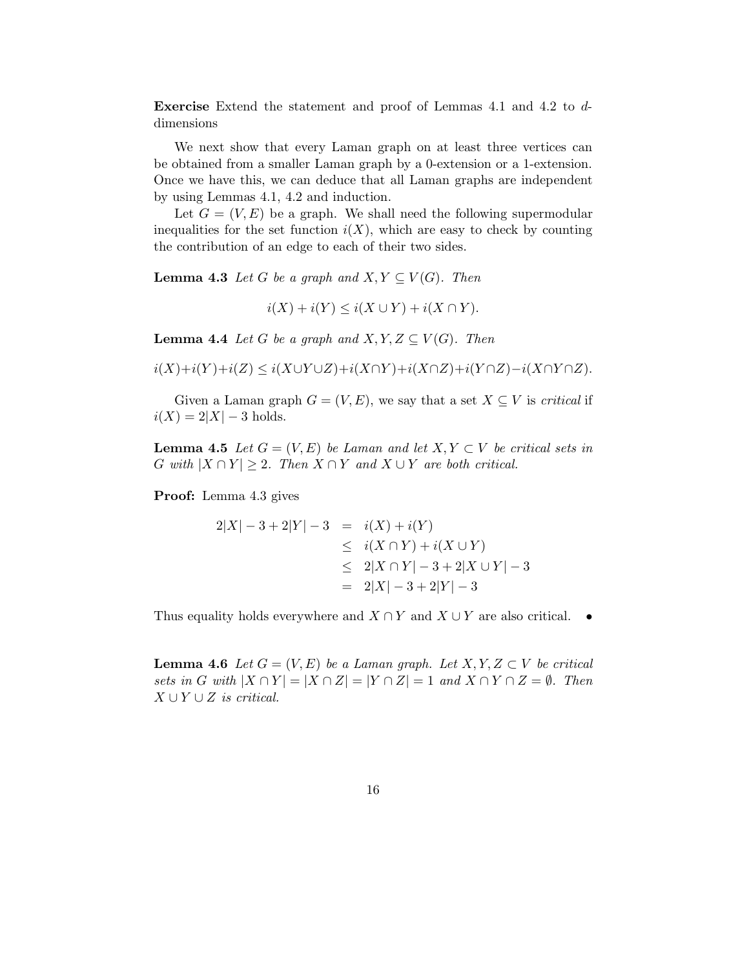Exercise Extend the statement and proof of Lemmas 4.1 and 4.2 to ddimensions

We next show that every Laman graph on at least three vertices can be obtained from a smaller Laman graph by a 0-extension or a 1-extension. Once we have this, we can deduce that all Laman graphs are independent by using Lemmas 4.1, 4.2 and induction.

Let  $G = (V, E)$  be a graph. We shall need the following supermodular inequalities for the set function  $i(X)$ , which are easy to check by counting the contribution of an edge to each of their two sides.

**Lemma 4.3** Let G be a graph and  $X, Y \subseteq V(G)$ . Then

$$
i(X) + i(Y) \le i(X \cup Y) + i(X \cap Y).
$$

**Lemma 4.4** Let G be a graph and  $X, Y, Z \subseteq V(G)$ . Then

$$
i(X)+i(Y)+i(Z) \leq i(X \cup Y \cup Z)+i(X \cap Y)+i(X \cap Z)+i(Y \cap Z)-i(X \cap Y \cap Z).
$$

Given a Laman graph  $G = (V, E)$ , we say that a set  $X \subseteq V$  is *critical* if  $i(X) = 2|X| - 3$  holds.

**Lemma 4.5** Let  $G = (V, E)$  be Laman and let  $X, Y \subset V$  be critical sets in G with  $|X \cap Y| \geq 2$ . Then  $X \cap Y$  and  $X \cup Y$  are both critical.

Proof: Lemma 4.3 gives

$$
2|X| - 3 + 2|Y| - 3 = i(X) + i(Y)
$$
  
\n
$$
\leq i(X \cap Y) + i(X \cup Y)
$$
  
\n
$$
\leq 2|X \cap Y| - 3 + 2|X \cup Y| - 3
$$
  
\n
$$
= 2|X| - 3 + 2|Y| - 3
$$

Thus equality holds everywhere and  $X \cap Y$  and  $X \cup Y$  are also critical. •

**Lemma 4.6** Let  $G = (V, E)$  be a Laman graph. Let  $X, Y, Z \subset V$  be critical sets in G with  $|X \cap Y| = |X \cap Z| = |Y \cap Z| = 1$  and  $X \cap Y \cap Z = \emptyset$ . Then  $X \cup Y \cup Z$  is critical.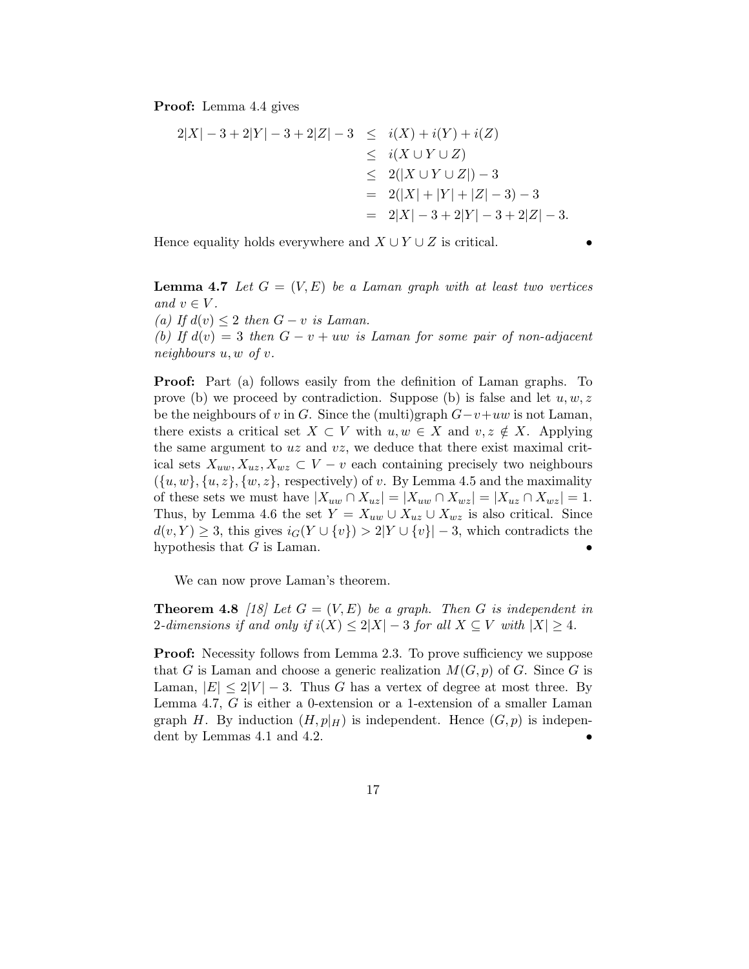Proof: Lemma 4.4 gives

$$
2|X| - 3 + 2|Y| - 3 + 2|Z| - 3 \leq i(X) + i(Y) + i(Z)
$$
  
\n
$$
\leq i(X \cup Y \cup Z)
$$
  
\n
$$
\leq 2(|X \cup Y \cup Z|) - 3
$$
  
\n
$$
= 2(|X| + |Y| + |Z| - 3) - 3
$$
  
\n
$$
= 2|X| - 3 + 2|Y| - 3 + 2|Z| - 3.
$$

Hence equality holds everywhere and  $X \cup Y \cup Z$  is critical.

**Lemma 4.7** Let  $G = (V, E)$  be a Laman graph with at least two vertices and  $v \in V$ .

(a) If  $d(v) \leq 2$  then  $G - v$  is Laman.

(b) If  $d(v) = 3$  then  $G - v + uw$  is Laman for some pair of non-adjacent neighbours u, w of v.

Proof: Part (a) follows easily from the definition of Laman graphs. To prove (b) we proceed by contradiction. Suppose (b) is false and let  $u, w, z$ be the neighbours of v in G. Since the (multi)graph  $G-v+uw$  is not Laman, there exists a critical set  $X \subset V$  with  $u, w \in X$  and  $v, z \notin X$ . Applying the same argument to  $uz$  and  $vz$ , we deduce that there exist maximal critical sets  $X_{uw}, X_{uz}, X_{wz} \subset V - v$  each containing precisely two neighbours  $({u, w}, {u, z}, {w, z},$  respectively) of v. By Lemma 4.5 and the maximality of these sets we must have  $|X_{uw} \cap X_{uz}| = |X_{uw} \cap X_{wz}| = |X_{uz} \cap X_{wz}| = 1$ . Thus, by Lemma 4.6 the set  $Y = X_{uw} \cup X_{uz} \cup X_{wz}$  is also critical. Since  $d(v, Y) \geq 3$ , this gives  $i_G(Y \cup \{v\}) > 2|Y \cup \{v\}| - 3$ , which contradicts the hypothesis that  $G$  is Laman.

We can now prove Laman's theorem.

**Theorem 4.8** [18] Let  $G = (V, E)$  be a graph. Then G is independent in 2-dimensions if and only if  $i(X) \leq 2|X| - 3$  for all  $X \subseteq V$  with  $|X| \geq 4$ .

**Proof:** Necessity follows from Lemma 2.3. To prove sufficiency we suppose that G is Laman and choose a generic realization  $M(G, p)$  of G. Since G is Laman,  $|E| \leq 2|V| - 3$ . Thus G has a vertex of degree at most three. By Lemma 4.7, G is either a 0-extension or a 1-extension of a smaller Laman graph H. By induction  $(H, p|_H)$  is independent. Hence  $(G, p)$  is independent by Lemmas 4.1 and 4.2.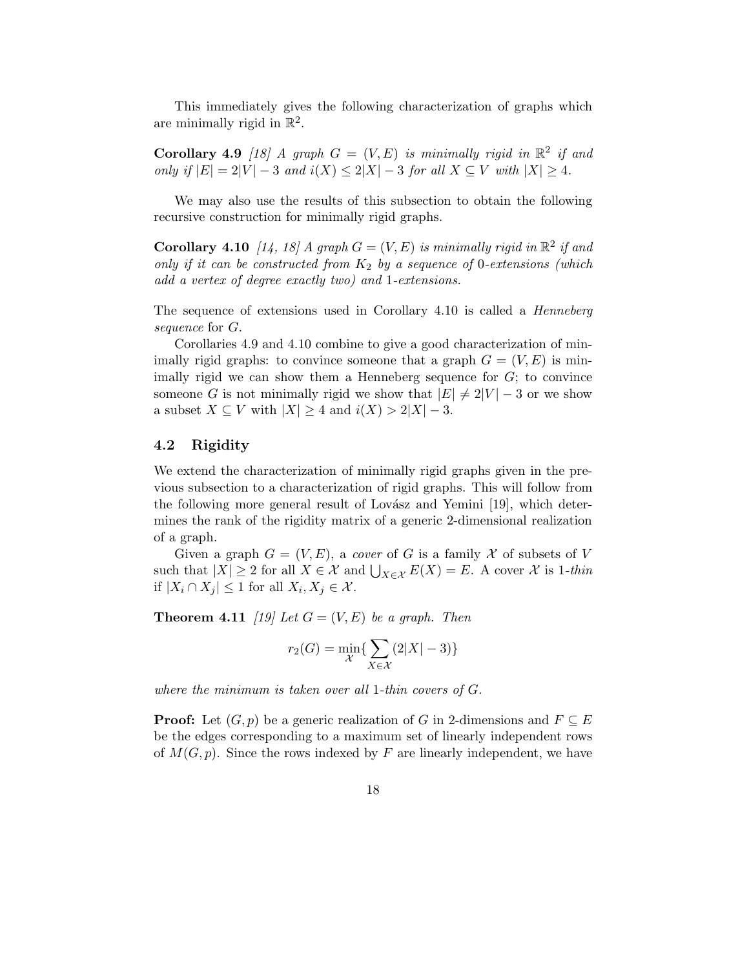This immediately gives the following characterization of graphs which are minimally rigid in  $\mathbb{R}^2$ .

**Corollary 4.9** [18] A graph  $G = (V, E)$  is minimally rigid in  $\mathbb{R}^2$  if and only if  $|E| = 2|V| - 3$  and  $i(X) \leq 2|X| - 3$  for all  $X \subseteq V$  with  $|X| > 4$ .

We may also use the results of this subsection to obtain the following recursive construction for minimally rigid graphs.

**Corollary 4.10** [14, 18] A graph  $G = (V, E)$  is minimally rigid in  $\mathbb{R}^2$  if and only if it can be constructed from  $K_2$  by a sequence of 0-extensions (which add a vertex of degree exactly two) and 1-extensions.

The sequence of extensions used in Corollary 4.10 is called a Henneberg sequence for G.

Corollaries 4.9 and 4.10 combine to give a good characterization of minimally rigid graphs: to convince someone that a graph  $G = (V, E)$  is minimally rigid we can show them a Henneberg sequence for  $G$ ; to convince someone G is not minimally rigid we show that  $|E| \neq 2|V| - 3$  or we show a subset  $X \subseteq V$  with  $|X| \geq 4$  and  $i(X) > 2|X| - 3$ .

# 4.2 Rigidity

We extend the characterization of minimally rigid graphs given in the previous subsection to a characterization of rigid graphs. This will follow from the following more general result of Lovász and Yemini [19], which determines the rank of the rigidity matrix of a generic 2-dimensional realization of a graph.

Given a graph  $G = (V, E)$ , a cover of G is a family X of subsets of V such that  $|X| \ge 2$  for all  $X \in \mathcal{X}$  and  $\bigcup_{X \in \mathcal{X}} E(X) = E$ . A cover  $\mathcal{X}$  is 1-thin if  $|X_i \cap X_j| \leq 1$  for all  $X_i, X_j \in \mathcal{X}$ .

**Theorem 4.11** [19] Let  $G = (V, E)$  be a graph. Then

$$
r_2(G) = \min_{\mathcal{X}} \{ \sum_{X \in \mathcal{X}} (2|X| - 3) \}
$$

where the minimum is taken over all 1-thin covers of G.

**Proof:** Let  $(G, p)$  be a generic realization of G in 2-dimensions and  $F \subseteq E$ be the edges corresponding to a maximum set of linearly independent rows of  $M(G, p)$ . Since the rows indexed by F are linearly independent, we have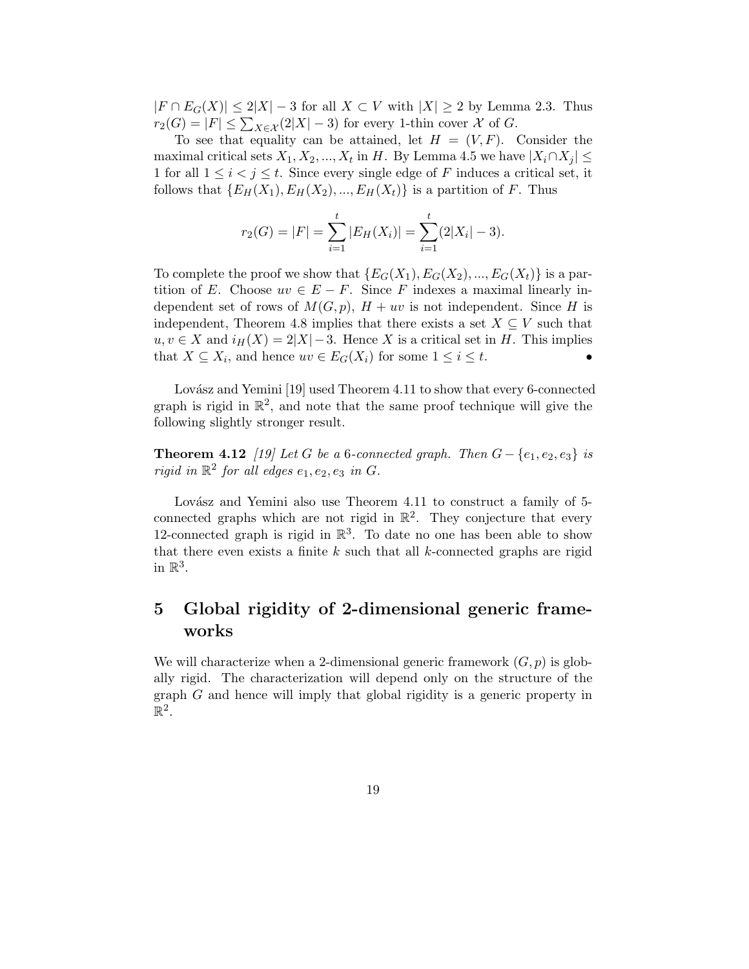$|F \cap E_G(X)| \leq 2|X|-3$  for all  $X \subset V$  with  $|X| \geq 2$  by Lemma 2.3. Thus  $r_2(G) = |F| \le \sum_{X \in \mathcal{X}} (2|X| - 3)$  for every 1-thin cover  $\mathcal X$  of  $G$ .

To see that equality can be attained, let  $H = (V, F)$ . Consider the maximal critical sets  $X_1, X_2, ..., X_t$  in H. By Lemma 4.5 we have  $|X_i \cap X_j| \leq$ 1 for all  $1 \leq i < j \leq t$ . Since every single edge of F induces a critical set, it follows that  $\{E_H(X_1), E_H(X_2), ..., E_H(X_t)\}\$ is a partition of F. Thus

$$
r_2(G) = |F| = \sum_{i=1}^t |E_H(X_i)| = \sum_{i=1}^t (2|X_i| - 3).
$$

To complete the proof we show that  $\{E_G(X_1), E_G(X_2), ..., E_G(X_t)\}\)$  is a partition of E. Choose  $uv \in E - F$ . Since F indexes a maximal linearly independent set of rows of  $M(G, p)$ ,  $H + uv$  is not independent. Since H is independent, Theorem 4.8 implies that there exists a set  $X \subseteq V$  such that  $u, v \in X$  and  $i_H(X) = 2|X|-3$ . Hence X is a critical set in H. This implies that  $X \subseteq X_i$ , and hence  $uv \in E_G(X_i)$  for some  $1 \leq i \leq t$ .

Lovász and Yemini [19] used Theorem 4.11 to show that every 6-connected graph is rigid in  $\mathbb{R}^2$ , and note that the same proof technique will give the following slightly stronger result.

**Theorem 4.12** [19] Let G be a 6-connected graph. Then  $G - \{e_1, e_2, e_3\}$  is rigid in  $\mathbb{R}^2$  for all edges  $e_1, e_2, e_3$  in G.

Lovász and Yemini also use Theorem 4.11 to construct a family of 5connected graphs which are not rigid in  $\mathbb{R}^2$ . They conjecture that every 12-connected graph is rigid in  $\mathbb{R}^3$ . To date no one has been able to show that there even exists a finite  $k$  such that all  $k$ -connected graphs are rigid in  $\mathbb{R}^3$ .

# 5 Global rigidity of 2-dimensional generic frameworks

We will characterize when a 2-dimensional generic framework  $(G, p)$  is globally rigid. The characterization will depend only on the structure of the graph G and hence will imply that global rigidity is a generic property in  $\mathbb{R}^2$ .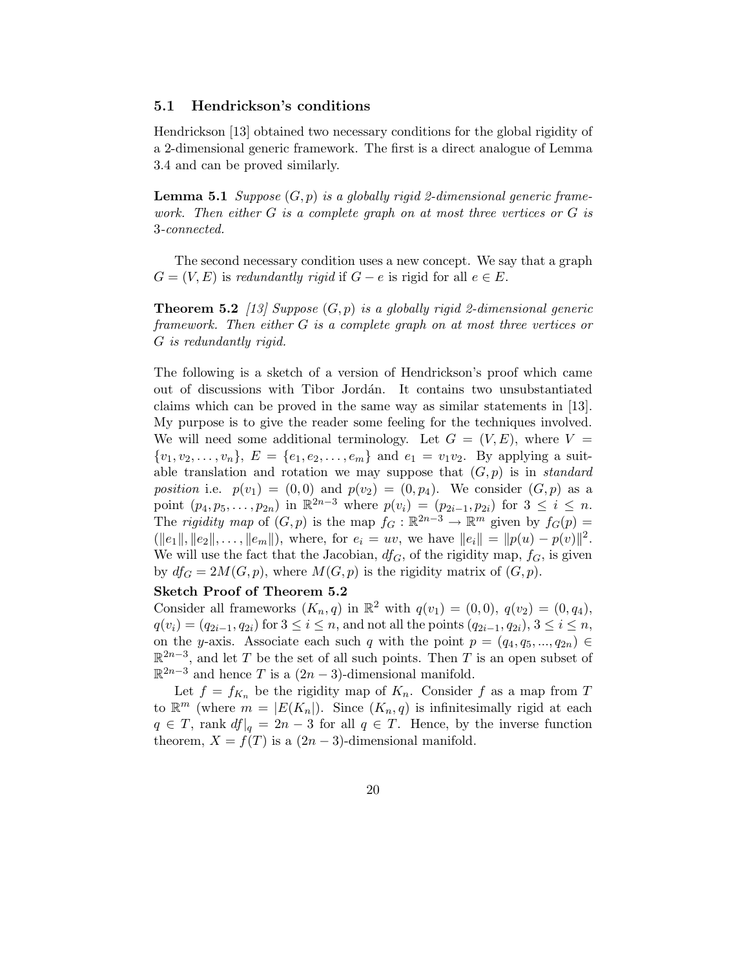## 5.1 Hendrickson's conditions

Hendrickson [13] obtained two necessary conditions for the global rigidity of a 2-dimensional generic framework. The first is a direct analogue of Lemma 3.4 and can be proved similarly.

**Lemma 5.1** Suppose  $(G, p)$  is a globally rigid 2-dimensional generic framework. Then either G is a complete graph on at most three vertices or G is 3-connected.

The second necessary condition uses a new concept. We say that a graph  $G = (V, E)$  is redundantly rigid if  $G - e$  is rigid for all  $e \in E$ .

**Theorem 5.2** [13] Suppose  $(G, p)$  is a globally rigid 2-dimensional generic framework. Then either G is a complete graph on at most three vertices or G is redundantly rigid.

The following is a sketch of a version of Hendrickson's proof which came out of discussions with Tibor Jord´an. It contains two unsubstantiated claims which can be proved in the same way as similar statements in [13]. My purpose is to give the reader some feeling for the techniques involved. We will need some additional terminology. Let  $G = (V, E)$ , where  $V =$  $\{v_1, v_2, \ldots, v_n\}, E = \{e_1, e_2, \ldots, e_m\}$  and  $e_1 = v_1v_2$ . By applying a suitable translation and rotation we may suppose that  $(G, p)$  is in *standard* position i.e.  $p(v_1) = (0,0)$  and  $p(v_2) = (0, p_4)$ . We consider  $(G, p)$  as a point  $(p_4, p_5, \ldots, p_{2n})$  in  $\mathbb{R}^{2n-3}$  where  $p(v_i) = (p_{2i-1}, p_{2i})$  for  $3 \le i \le n$ . The rigidity map of  $(G, p)$  is the map  $f_G : \mathbb{R}^{2n-3} \to \mathbb{R}^m$  given by  $f_G(p) =$  $(\|e_1\|, \|e_2\|, \ldots, \|e_m\|),$  where, for  $e_i = uv$ , we have  $\|e_i\| = \|p(u) - p(v)\|^2$ . We will use the fact that the Jacobian,  $df_G$ , of the rigidity map,  $f_G$ , is given by  $df_G = 2M(G, p)$ , where  $M(G, p)$  is the rigidity matrix of  $(G, p)$ .

## Sketch Proof of Theorem 5.2

Consider all frameworks  $(K_n, q)$  in  $\mathbb{R}^2$  with  $q(v_1) = (0, 0), q(v_2) = (0, q_4),$  $q(v_i) = (q_{2i-1}, q_{2i})$  for  $3 \le i \le n$ , and not all the points  $(q_{2i-1}, q_{2i}), 3 \le i \le n$ , on the y-axis. Associate each such q with the point  $p = (q_4, q_5, ..., q_{2n}) \in$  $\mathbb{R}^{2n-3}$ , and let T be the set of all such points. Then T is an open subset of  $\mathbb{R}^{2n-3}$  and hence T is a  $(2n-3)$ -dimensional manifold.

Let  $f = f_{K_n}$  be the rigidity map of  $K_n$ . Consider f as a map from T to  $\mathbb{R}^m$  (where  $m = |E(K_n)|$ ). Since  $(K_n, q)$  is infinitesimally rigid at each  $q \in T$ , rank  $df|_q = 2n - 3$  for all  $q \in T$ . Hence, by the inverse function theorem,  $X = f(T)$  is a  $(2n-3)$ -dimensional manifold.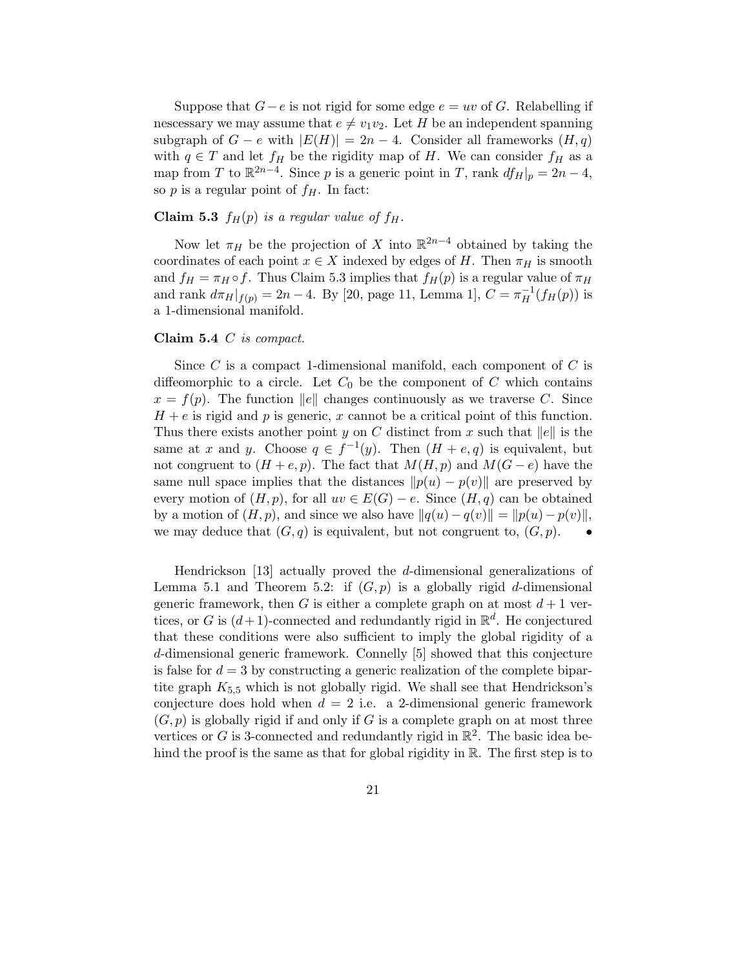Suppose that  $G-e$  is not rigid for some edge  $e = uv$  of G. Relabelling if nescessary we may assume that  $e \neq v_1v_2$ . Let H be an independent spanning subgraph of  $G - e$  with  $|E(H)| = 2n - 4$ . Consider all frameworks  $(H, q)$ with  $q \in T$  and let  $f_H$  be the rigidity map of H. We can consider  $f_H$  as a map from T to  $\mathbb{R}^{2n-4}$ . Since p is a generic point in T, rank  $df_H|_p = 2n - 4$ , so p is a regular point of  $f<sub>H</sub>$ . In fact:

# Claim 5.3  $f_H(p)$  is a regular value of  $f_H$ .

Now let  $\pi_H$  be the projection of X into  $\mathbb{R}^{2n-4}$  obtained by taking the coordinates of each point  $x \in X$  indexed by edges of H. Then  $\pi_H$  is smooth and  $f_H = \pi_H \circ f$ . Thus Claim 5.3 implies that  $f_H(p)$  is a regular value of  $\pi_H$ and rank  $d\pi_H|_{f(p)} = 2n - 4$ . By [20, page 11, Lemma 1],  $C = \pi_H^{-1}(f_H(p))$  is a 1-dimensional manifold.

#### Claim 5.4 C is compact.

Since  $C$  is a compact 1-dimensional manifold, each component of  $C$  is diffeomorphic to a circle. Let  $C_0$  be the component of C which contains  $x = f(p)$ . The function ||e|| changes continuously as we traverse C. Since  $H + e$  is rigid and p is generic, x cannot be a critical point of this function. Thus there exists another point y on C distinct from x such that  $||e||$  is the same at x and y. Choose  $q \in f^{-1}(y)$ . Then  $(H + e, q)$  is equivalent, but not congruent to  $(H+e,p)$ . The fact that  $M(H,p)$  and  $M(G-e)$  have the same null space implies that the distances  $\|p(u) - p(v)\|$  are preserved by every motion of  $(H, p)$ , for all  $uv \in E(G) - e$ . Since  $(H, q)$  can be obtained by a motion of  $(H, p)$ , and since we also have  $||q(u) - q(v)|| = ||p(u) - p(v)||$ , we may deduce that  $(G, q)$  is equivalent, but not congruent to,  $(G, p)$ .

Hendrickson [13] actually proved the d-dimensional generalizations of Lemma 5.1 and Theorem 5.2: if  $(G, p)$  is a globally rigid d-dimensional generic framework, then G is either a complete graph on at most  $d+1$  vertices, or G is  $(d+1)$ -connected and redundantly rigid in  $\mathbb{R}^d$ . He conjectured that these conditions were also sufficient to imply the global rigidity of a d-dimensional generic framework. Connelly [5] showed that this conjecture is false for  $d = 3$  by constructing a generic realization of the complete bipartite graph  $K_{5,5}$  which is not globally rigid. We shall see that Hendrickson's conjecture does hold when  $d = 2$  i.e. a 2-dimensional generic framework  $(G, p)$  is globally rigid if and only if G is a complete graph on at most three vertices or G is 3-connected and redundantly rigid in  $\mathbb{R}^2$ . The basic idea behind the proof is the same as that for global rigidity in R. The first step is to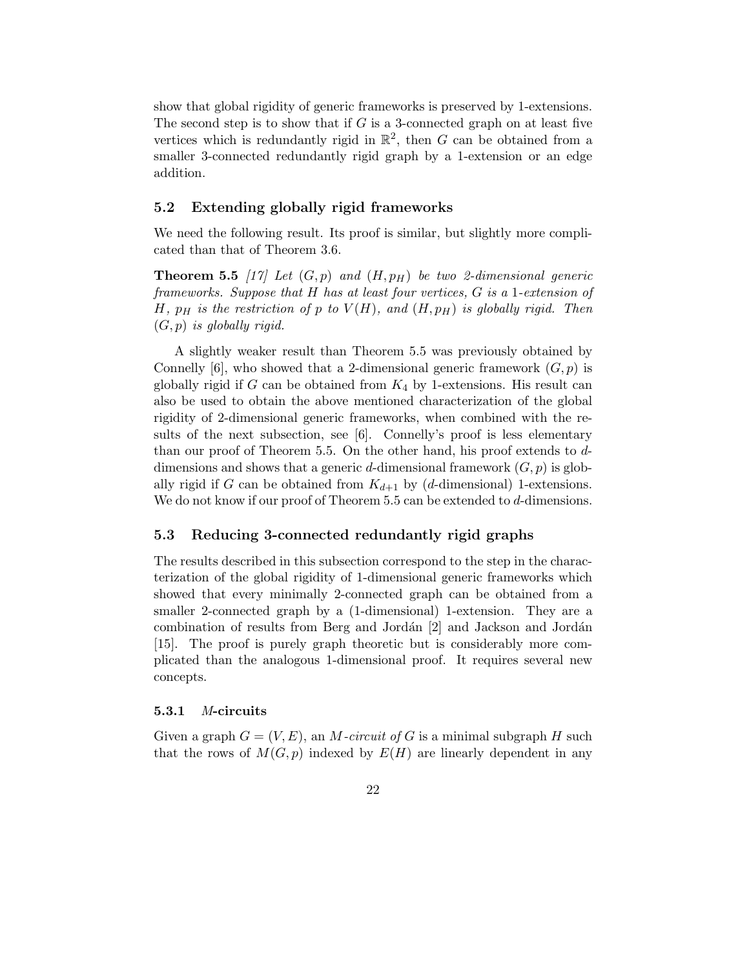show that global rigidity of generic frameworks is preserved by 1-extensions. The second step is to show that if  $G$  is a 3-connected graph on at least five vertices which is redundantly rigid in  $\mathbb{R}^2$ , then G can be obtained from a smaller 3-connected redundantly rigid graph by a 1-extension or an edge addition.

# 5.2 Extending globally rigid frameworks

We need the following result. Its proof is similar, but slightly more complicated than that of Theorem 3.6.

**Theorem 5.5** [17] Let  $(G, p)$  and  $(H, p)$  be two 2-dimensional generic frameworks. Suppose that H has at least four vertices, G is a 1-extension of H,  $p_H$  is the restriction of p to  $V(H)$ , and  $(H, p_H)$  is globally rigid. Then  $(G, p)$  is globally rigid.

A slightly weaker result than Theorem 5.5 was previously obtained by Connelly [6], who showed that a 2-dimensional generic framework  $(G, p)$  is globally rigid if G can be obtained from  $K_4$  by 1-extensions. His result can also be used to obtain the above mentioned characterization of the global rigidity of 2-dimensional generic frameworks, when combined with the results of the next subsection, see [6]. Connelly's proof is less elementary than our proof of Theorem 5.5. On the other hand, his proof extends to ddimensions and shows that a generic d-dimensional framework  $(G, p)$  is globally rigid if G can be obtained from  $K_{d+1}$  by (d-dimensional) 1-extensions. We do not know if our proof of Theorem 5.5 can be extended to d-dimensions.

## 5.3 Reducing 3-connected redundantly rigid graphs

The results described in this subsection correspond to the step in the characterization of the global rigidity of 1-dimensional generic frameworks which showed that every minimally 2-connected graph can be obtained from a smaller 2-connected graph by a (1-dimensional) 1-extension. They are a combination of results from Berg and Jordán [2] and Jackson and Jordán [15]. The proof is purely graph theoretic but is considerably more complicated than the analogous 1-dimensional proof. It requires several new concepts.

#### 5.3.1 M-circuits

Given a graph  $G = (V, E)$ , an M-circuit of G is a minimal subgraph H such that the rows of  $M(G, p)$  indexed by  $E(H)$  are linearly dependent in any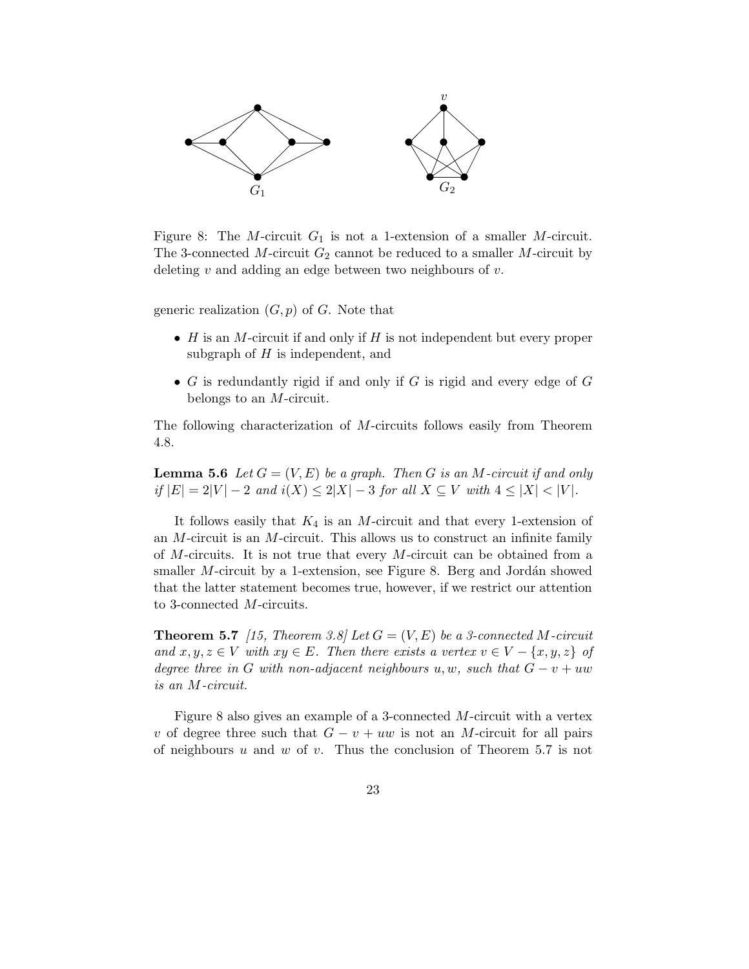

Figure 8: The M-circuit  $G_1$  is not a 1-extension of a smaller M-circuit. The 3-connected M-circuit  $G_2$  cannot be reduced to a smaller M-circuit by deleting  $v$  and adding an edge between two neighbours of  $v$ .

generic realization  $(G, p)$  of G. Note that

- $H$  is an M-circuit if and only if  $H$  is not independent but every proper subgraph of  $H$  is independent, and
- $G$  is redundantly rigid if and only if  $G$  is rigid and every edge of  $G$ belongs to an M-circuit.

The following characterization of M-circuits follows easily from Theorem 4.8.

**Lemma 5.6** Let  $G = (V, E)$  be a graph. Then G is an M-circuit if and only if  $|E| = 2|V| - 2$  and  $i(X) \le 2|X| - 3$  for all  $X \subseteq V$  with  $4 \le |X| < |V|$ .

It follows easily that  $K_4$  is an M-circuit and that every 1-extension of an M-circuit is an M-circuit. This allows us to construct an infinite family of M-circuits. It is not true that every M-circuit can be obtained from a smaller  $M$ -circuit by a 1-extension, see Figure 8. Berg and Jordán showed that the latter statement becomes true, however, if we restrict our attention to 3-connected M-circuits.

**Theorem 5.7** [15, Theorem 3.8] Let  $G = (V, E)$  be a 3-connected M-circuit and  $x, y, z \in V$  with  $xy \in E$ . Then there exists a vertex  $v \in V - \{x, y, z\}$  of degree three in G with non-adjacent neighbours u, w, such that  $G - v + uw$ is an M-circuit.

Figure 8 also gives an example of a 3-connected M-circuit with a vertex v of degree three such that  $G - v + uw$  is not an M-circuit for all pairs of neighbours  $u$  and  $w$  of  $v$ . Thus the conclusion of Theorem 5.7 is not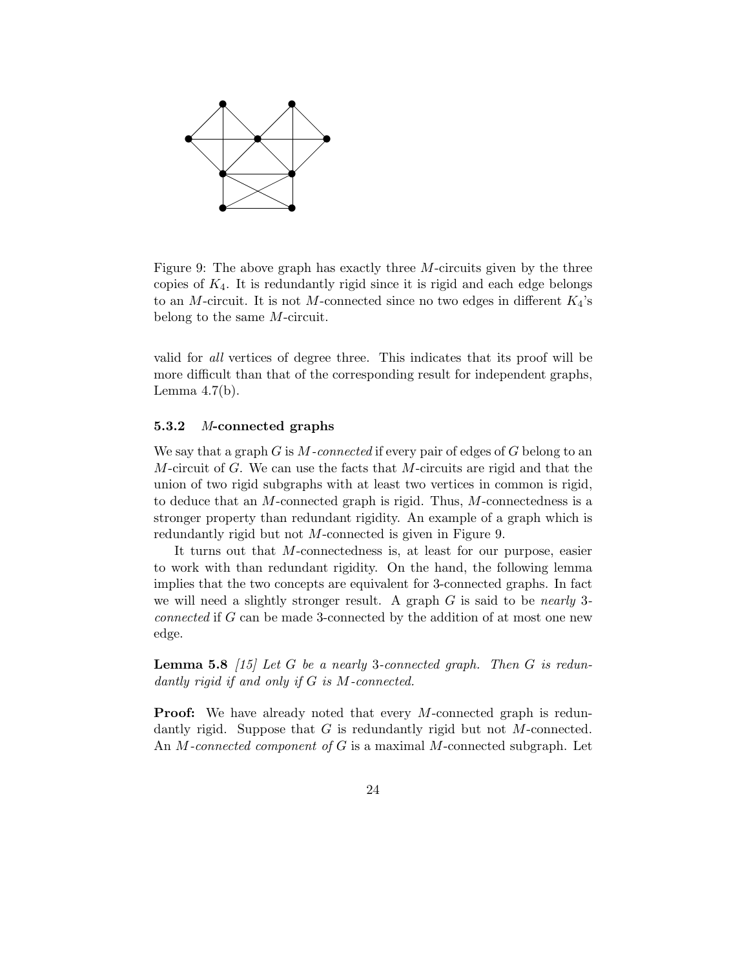

Figure 9: The above graph has exactly three M-circuits given by the three copies of  $K_4$ . It is redundantly rigid since it is rigid and each edge belongs to an M-circuit. It is not M-connected since no two edges in different  $K_4$ 's belong to the same M-circuit.

valid for all vertices of degree three. This indicates that its proof will be more difficult than that of the corresponding result for independent graphs, Lemma  $4.7(b)$ .

#### 5.3.2 M-connected graphs

We say that a graph  $G$  is M-connected if every pair of edges of  $G$  belong to an M-circuit of  $G$ . We can use the facts that M-circuits are rigid and that the union of two rigid subgraphs with at least two vertices in common is rigid, to deduce that an M-connected graph is rigid. Thus, M-connectedness is a stronger property than redundant rigidity. An example of a graph which is redundantly rigid but not M-connected is given in Figure 9.

It turns out that M-connectedness is, at least for our purpose, easier to work with than redundant rigidity. On the hand, the following lemma implies that the two concepts are equivalent for 3-connected graphs. In fact we will need a slightly stronger result. A graph  $G$  is said to be *nearly* 3connected if G can be made 3-connected by the addition of at most one new edge.

**Lemma 5.8** [15] Let G be a nearly 3-connected graph. Then G is redundantly rigid if and only if G is M-connected.

**Proof:** We have already noted that every M-connected graph is redundantly rigid. Suppose that  $G$  is redundantly rigid but not  $M$ -connected. An  $M$ -connected component of  $G$  is a maximal  $M$ -connected subgraph. Let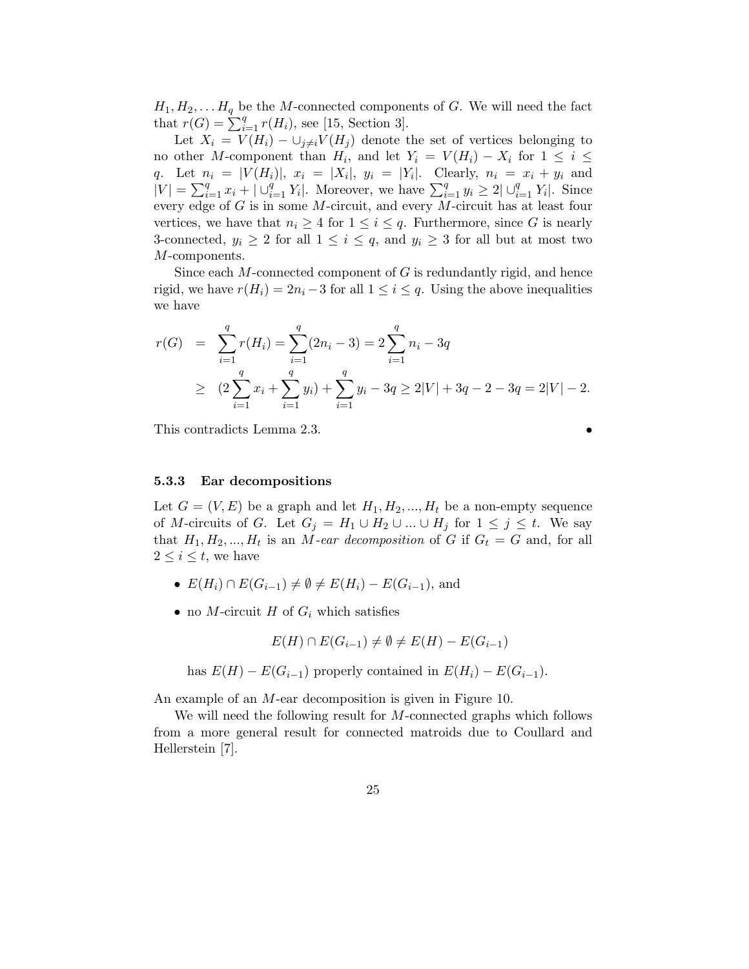$H_1, H_2, \ldots H_q$  be the M-connected components of G. We will need the fact that  $r(G) = \sum_{i=1}^{q} r(H_i)$ , see [15, Section 3].

Let  $X_i = V(H_i) - \bigcup_{j \neq i} V(H_j)$  denote the set of vertices belonging to no other M-component than  $H_i$ , and let  $Y_i = V(H_i) - X_i$  for  $1 \leq i \leq$ q. Let  $n_i = |V(H_i)|$ ,  $x_i = |X_i|$ ,  $y_i = |Y_i|$ . Clearly,  $n_i = x_i + y_i$  and  $|V| = \sum_{i=1}^{q} x_i + |\bigcup_{i=1}^{q} Y_i|$ . Moreover, we have  $\sum_{i=1}^{q} y_i \ge 2 |\bigcup_{i=1}^{q} Y_i|$ . Since every edge of G is in some M-circuit, and every M-circuit has at least four vertices, we have that  $n_i \geq 4$  for  $1 \leq i \leq q$ . Furthermore, since G is nearly 3-connected,  $y_i \geq 2$  for all  $1 \leq i \leq q$ , and  $y_i \geq 3$  for all but at most two M-components.

Since each  $M$ -connected component of  $G$  is redundantly rigid, and hence rigid, we have  $r(H_i) = 2n_i - 3$  for all  $1 \leq i \leq q$ . Using the above inequalities we have

$$
r(G) = \sum_{i=1}^{q} r(H_i) = \sum_{i=1}^{q} (2n_i - 3) = 2 \sum_{i=1}^{q} n_i - 3q
$$
  
\n
$$
\geq (2 \sum_{i=1}^{q} x_i + \sum_{i=1}^{q} y_i) + \sum_{i=1}^{q} y_i - 3q \geq 2|V| + 3q - 2 - 3q = 2|V| - 2.
$$

This contradicts Lemma 2.3. •

### 5.3.3 Ear decompositions

Let  $G = (V, E)$  be a graph and let  $H_1, H_2, ..., H_t$  be a non-empty sequence of M-circuits of G. Let  $G_j = H_1 \cup H_2 \cup ... \cup H_j$  for  $1 \leq j \leq t$ . We say that  $H_1, H_2, ..., H_t$  is an M-ear decomposition of G if  $G_t = G$  and, for all  $2 \leq i \leq t$ , we have

- $E(H_i) \cap E(G_{i-1}) \neq \emptyset \neq E(H_i) E(G_{i-1}),$  and
- no M-circuit H of  $G_i$  which satisfies

$$
E(H) \cap E(G_{i-1}) \neq \emptyset \neq E(H) - E(G_{i-1})
$$

has  $E(H) - E(G_{i-1})$  properly contained in  $E(H_i) - E(G_{i-1})$ .

An example of an M-ear decomposition is given in Figure 10.

We will need the following result for M-connected graphs which follows from a more general result for connected matroids due to Coullard and Hellerstein [7].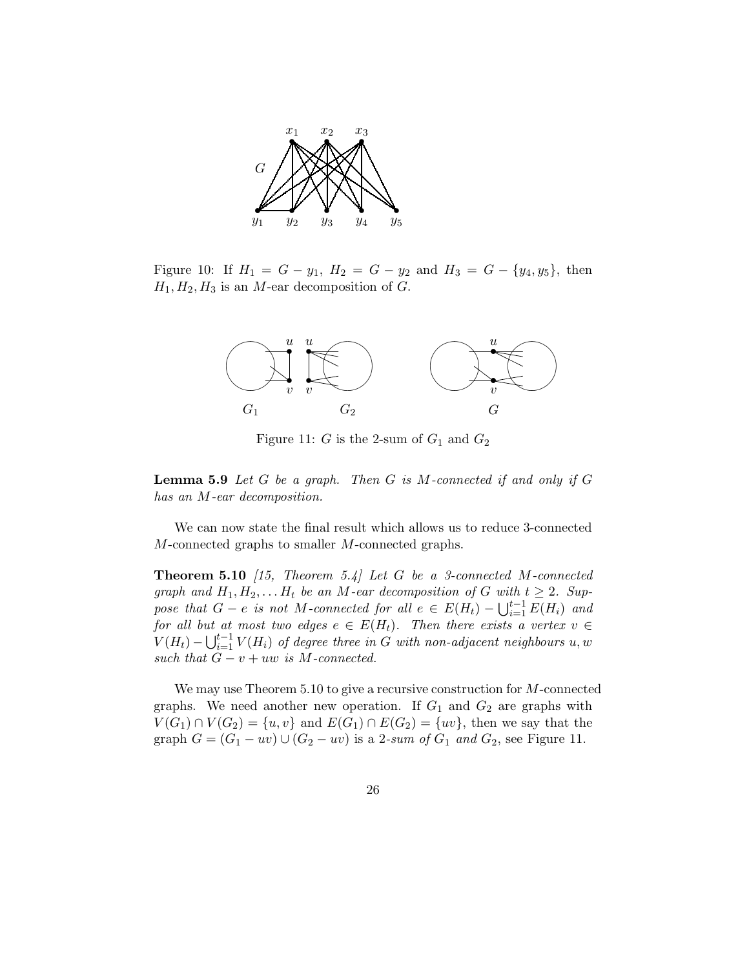

Figure 10: If  $H_1 = G - y_1$ ,  $H_2 = G - y_2$  and  $H_3 = G - \{y_4, y_5\}$ , then  $H_1, H_2, H_3$  is an M-ear decomposition of G.



Figure 11: G is the 2-sum of  $G_1$  and  $G_2$ 

**Lemma 5.9** Let  $G$  be a graph. Then  $G$  is  $M$ -connected if and only if  $G$ has an M-ear decomposition.

We can now state the final result which allows us to reduce 3-connected M-connected graphs to smaller M-connected graphs.

**Theorem 5.10** [15, Theorem 5.4] Let G be a 3-connected M-connected graph and  $H_1, H_2, \ldots H_t$  be an M-ear decomposition of G with  $t \geq 2$ . Suppose that  $G - e$  is not M-connected for all  $e \in E(H_t) - \bigcup_{i=1}^{t-1} E(H_i)$  and for all but at most two edges  $e \in E(H_t)$ . Then there exists a vertex  $v \in$  $V(H_t) - \bigcup_{i=1}^{t-1} V(H_i)$  of degree three in G with non-adjacent neighbours u, w such that  $G - v + uw$  is M-connected.

We may use Theorem 5.10 to give a recursive construction for M-connected graphs. We need another new operation. If  $G_1$  and  $G_2$  are graphs with  $V(G_1) \cap V(G_2) = \{u, v\}$  and  $E(G_1) \cap E(G_2) = \{uv\}$ , then we say that the graph  $G = (G_1 - uv) \cup (G_2 - uv)$  is a 2-sum of  $G_1$  and  $G_2$ , see Figure 11.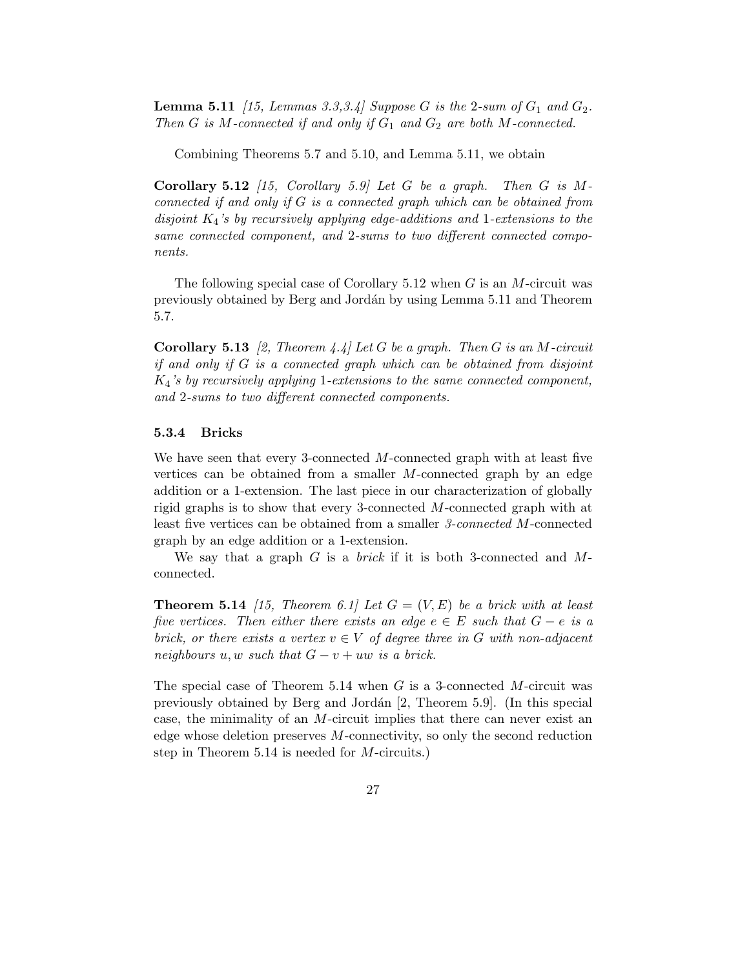**Lemma 5.11** [15, Lemmas 3.3,3.4] Suppose G is the 2-sum of  $G_1$  and  $G_2$ . Then G is M-connected if and only if  $G_1$  and  $G_2$  are both M-connected.

Combining Theorems 5.7 and 5.10, and Lemma 5.11, we obtain

**Corollary 5.12** [15, Corollary 5.9] Let G be a graph. Then G is Mconnected if and only if G is a connected graph which can be obtained from disjoint  $K_4$ 's by recursively applying edge-additions and 1-extensions to the same connected component, and 2-sums to two different connected components.

The following special case of Corollary 5.12 when  $G$  is an M-circuit was previously obtained by Berg and Jord´an by using Lemma 5.11 and Theorem 5.7.

**Corollary 5.13** [2, Theorem 4.4] Let G be a graph. Then G is an M-circuit if and only if  $G$  is a connected graph which can be obtained from disjoint  $K_4$ 's by recursively applying 1-extensions to the same connected component, and 2-sums to two different connected components.

### 5.3.4 Bricks

We have seen that every 3-connected M-connected graph with at least five vertices can be obtained from a smaller M-connected graph by an edge addition or a 1-extension. The last piece in our characterization of globally rigid graphs is to show that every 3-connected M-connected graph with at least five vertices can be obtained from a smaller 3-connected M-connected graph by an edge addition or a 1-extension.

We say that a graph  $G$  is a *brick* if it is both 3-connected and  $M$ connected.

**Theorem 5.14** [15, Theorem 6.1] Let  $G = (V, E)$  be a brick with at least five vertices. Then either there exists an edge  $e \in E$  such that  $G - e$  is a brick, or there exists a vertex  $v \in V$  of degree three in G with non-adjacent neighbours u, w such that  $G - v + uw$  is a brick.

The special case of Theorem 5.14 when  $G$  is a 3-connected  $M$ -circuit was previously obtained by Berg and Jordán [2, Theorem 5.9]. (In this special case, the minimality of an M-circuit implies that there can never exist an edge whose deletion preserves  $M$ -connectivity, so only the second reduction step in Theorem 5.14 is needed for M-circuits.)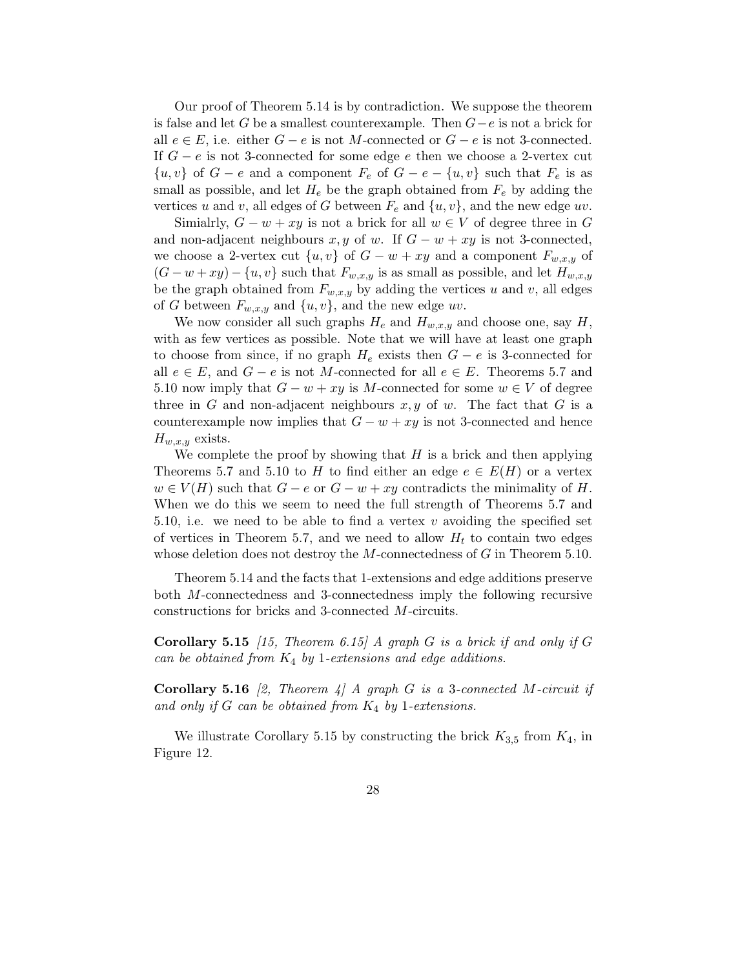Our proof of Theorem 5.14 is by contradiction. We suppose the theorem is false and let G be a smallest counterexample. Then  $G-e$  is not a brick for all  $e \in E$ , i.e. either  $G - e$  is not M-connected or  $G - e$  is not 3-connected. If  $G - e$  is not 3-connected for some edge e then we choose a 2-vertex cut  $\{u, v\}$  of  $G - e$  and a component  $F_e$  of  $G - e - \{u, v\}$  such that  $F_e$  is as small as possible, and let  $H_e$  be the graph obtained from  $F_e$  by adding the vertices u and v, all edges of G between  $F_e$  and  $\{u, v\}$ , and the new edge uv.

Simialrly,  $G - w + xy$  is not a brick for all  $w \in V$  of degree three in G and non-adjacent neighbours  $x, y$  of w. If  $G - w + xy$  is not 3-connected, we choose a 2-vertex cut  $\{u, v\}$  of  $G - w + xy$  and a component  $F_{w,x,y}$  of  $(G - w + xy) - \{u, v\}$  such that  $F_{w,x,y}$  is as small as possible, and let  $H_{w,x,y}$ be the graph obtained from  $F_{w,x,y}$  by adding the vertices u and v, all edges of G between  $F_{w,x,y}$  and  $\{u, v\}$ , and the new edge uv.

We now consider all such graphs  $H_e$  and  $H_{w,x,y}$  and choose one, say H, with as few vertices as possible. Note that we will have at least one graph to choose from since, if no graph  $H_e$  exists then  $G - e$  is 3-connected for all  $e \in E$ , and  $G - e$  is not M-connected for all  $e \in E$ . Theorems 5.7 and 5.10 now imply that  $G - w + xy$  is M-connected for some  $w \in V$  of degree three in  $G$  and non-adjacent neighbours  $x, y$  of w. The fact that  $G$  is a counterexample now implies that  $G - w + xy$  is not 3-connected and hence  $H_{w,x,y}$  exists.

We complete the proof by showing that  $H$  is a brick and then applying Theorems 5.7 and 5.10 to H to find either an edge  $e \in E(H)$  or a vertex  $w \in V(H)$  such that  $G - e$  or  $G - w + xy$  contradicts the minimality of H. When we do this we seem to need the full strength of Theorems 5.7 and 5.10, i.e. we need to be able to find a vertex  $v$  avoiding the specified set of vertices in Theorem 5.7, and we need to allow  $H_t$  to contain two edges whose deletion does not destroy the M-connectedness of  $G$  in Theorem 5.10.

Theorem 5.14 and the facts that 1-extensions and edge additions preserve both M-connectedness and 3-connectedness imply the following recursive constructions for bricks and 3-connected M-circuits.

**Corollary 5.15** [15, Theorem 6.15] A graph G is a brick if and only if G can be obtained from  $K_4$  by 1-extensions and edge additions.

**Corollary 5.16** [2, Theorem 4] A graph G is a 3-connected M-circuit if and only if  $G$  can be obtained from  $K_4$  by 1-extensions.

We illustrate Corollary 5.15 by constructing the brick  $K_{3,5}$  from  $K_4$ , in Figure 12.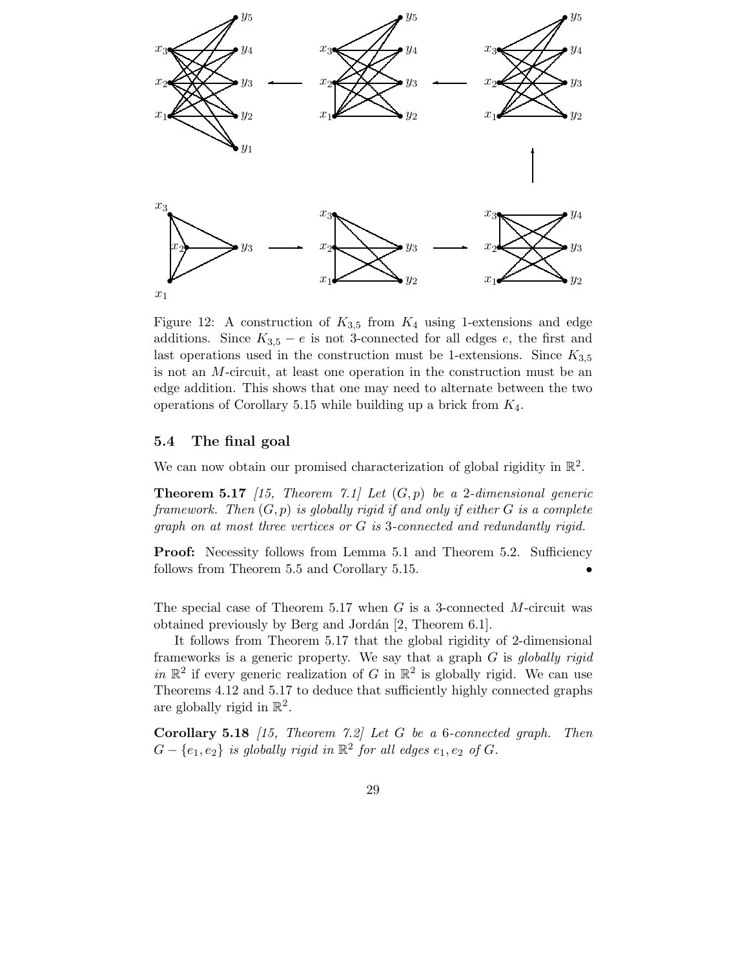

Figure 12: A construction of  $K_{3,5}$  from  $K_4$  using 1-extensions and edge additions. Since  $K_{3,5} - e$  is not 3-connected for all edges e, the first and last operations used in the construction must be 1-extensions. Since  $K_{3,5}$ is not an M-circuit, at least one operation in the construction must be an edge addition. This shows that one may need to alternate between the two operations of Corollary 5.15 while building up a brick from  $K_4$ .

## 5.4 The final goal

We can now obtain our promised characterization of global rigidity in  $\mathbb{R}^2$ .

**Theorem 5.17** [15, Theorem 7.1] Let  $(G, p)$  be a 2-dimensional generic framework. Then  $(G, p)$  is globally rigid if and only if either G is a complete graph on at most three vertices or G is 3-connected and redundantly rigid.

Proof: Necessity follows from Lemma 5.1 and Theorem 5.2. Sufficiency follows from Theorem 5.5 and Corollary 5.15.

The special case of Theorem 5.17 when  $G$  is a 3-connected M-circuit was obtained previously by Berg and Jordán [2, Theorem 6.1].

It follows from Theorem 5.17 that the global rigidity of 2-dimensional frameworks is a generic property. We say that a graph  $G$  is globally rigid in  $\mathbb{R}^2$  if every generic realization of G in  $\mathbb{R}^2$  is globally rigid. We can use Theorems 4.12 and 5.17 to deduce that sufficiently highly connected graphs are globally rigid in  $\mathbb{R}^2$ .

**Corollary 5.18** [15, Theorem  $7.2$ ] Let G be a 6-connected graph. Then  $G - \{e_1, e_2\}$  is globally rigid in  $\mathbb{R}^2$  for all edges  $e_1, e_2$  of  $G$ .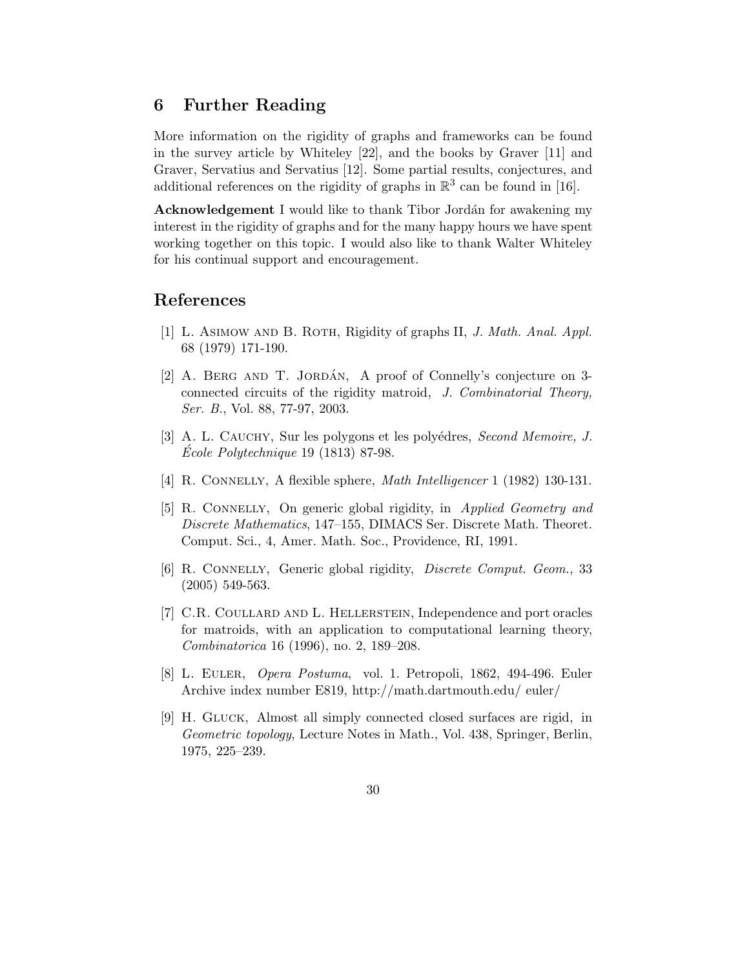# 6 Further Reading

More information on the rigidity of graphs and frameworks can be found in the survey article by Whiteley [22], and the books by Graver [11] and Graver, Servatius and Servatius [12]. Some partial results, conjectures, and additional references on the rigidity of graphs in  $\mathbb{R}^3$  can be found in [16].

**Acknowledgement** I would like to thank Tibor Jordán for awakening my interest in the rigidity of graphs and for the many happy hours we have spent working together on this topic. I would also like to thank Walter Whiteley for his continual support and encouragement.

# References

- [1] L. Asimow and B. Roth, Rigidity of graphs II, J. Math. Anal. Appl. 68 (1979) 171-190.
- [2] A. BERG AND T. JORDÁN, A proof of Connelly's conjecture on 3connected circuits of the rigidity matroid, J. Combinatorial Theory, Ser. B., Vol. 88, 77-97, 2003.
- [3] A. L. CAUCHY, Sur les polygons et les polyédres, Second Memoire, J.  $Ecole Polytechnique 19 (1813) 87-98.$
- [4] R. CONNELLY, A flexible sphere, *Math Intelligencer* 1 (1982) 130-131.
- [5] R. CONNELLY, On generic global rigidity, in *Applied Geometry and* Discrete Mathematics, 147–155, DIMACS Ser. Discrete Math. Theoret. Comput. Sci., 4, Amer. Math. Soc., Providence, RI, 1991.
- [6] R. CONNELLY, Generic global rigidity, *Discrete Comput. Geom.*, 33 (2005) 549-563.
- [7] C.R. Coullard and L. Hellerstein, Independence and port oracles for matroids, with an application to computational learning theory, Combinatorica 16 (1996), no. 2, 189–208.
- [8] L. Euler, Opera Postuma, vol. 1. Petropoli, 1862, 494-496. Euler Archive index number E819, http://math.dartmouth.edu/ euler/
- [9] H. Gluck, Almost all simply connected closed surfaces are rigid, in Geometric topology, Lecture Notes in Math., Vol. 438, Springer, Berlin, 1975, 225–239.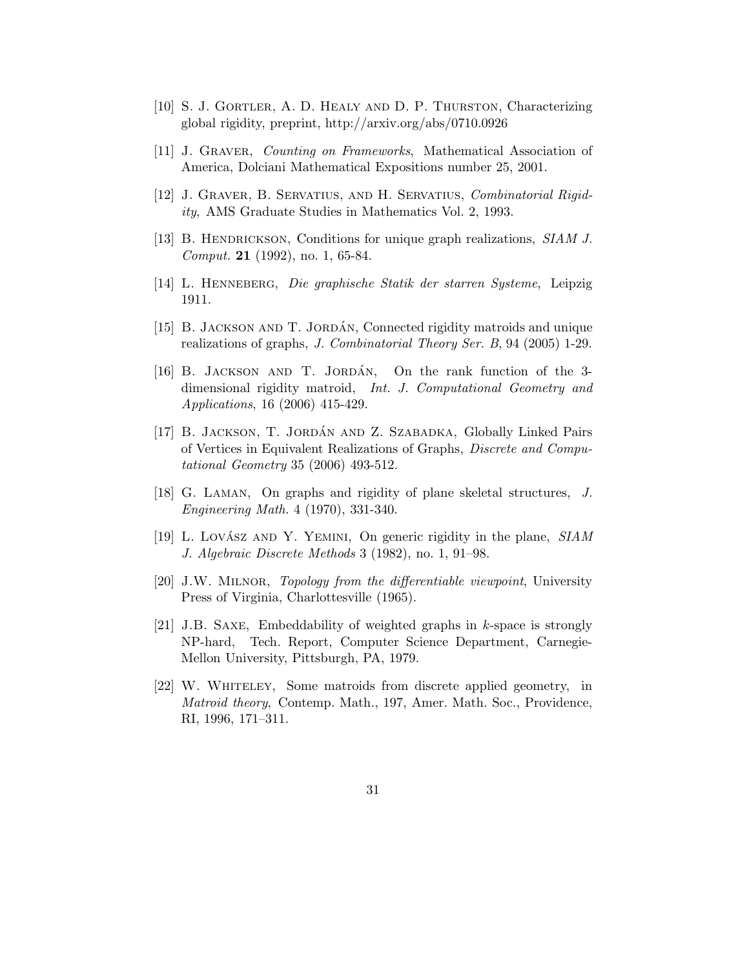- [10] S. J. GORTLER, A. D. HEALY AND D. P. THURSTON, Characterizing global rigidity, preprint, http://arxiv.org/abs/0710.0926
- [11] J. Graver, Counting on Frameworks, Mathematical Association of America, Dolciani Mathematical Expositions number 25, 2001.
- [12] J. Graver, B. Servatius, and H. Servatius, Combinatorial Rigidity, AMS Graduate Studies in Mathematics Vol. 2, 1993.
- [13] B. HENDRICKSON, Conditions for unique graph realizations, *SIAM J.* Comput. 21 (1992), no. 1, 65-84.
- [14] L. Henneberg, Die graphische Statik der starren Systeme, Leipzig 1911.
- [15] B. JACKSON AND T. JORDAN, Connected rigidity matroids and unique realizations of graphs, J. Combinatorial Theory Ser. B, 94 (2005) 1-29.
- [16] B. Jackson and T. Jordan´ , On the rank function of the 3 dimensional rigidity matroid, Int. J. Computational Geometry and Applications, 16 (2006) 415-429.
- [17] B. JACKSON, T. JORDÁN AND Z. SZABADKA, Globally Linked Pairs of Vertices in Equivalent Realizations of Graphs, Discrete and Computational Geometry 35 (2006) 493-512.
- [18] G. Laman, On graphs and rigidity of plane skeletal structures, J. Engineering Math. 4 (1970), 331-340.
- [19] L. Lovász AND Y. YEMINI, On generic rigidity in the plane,  $SIAM$ J. Algebraic Discrete Methods 3 (1982), no. 1, 91–98.
- [20] J.W. Milnor, Topology from the differentiable viewpoint, University Press of Virginia, Charlottesville (1965).
- [21] J.B. Saxe, Embeddability of weighted graphs in k-space is strongly NP-hard, Tech. Report, Computer Science Department, Carnegie-Mellon University, Pittsburgh, PA, 1979.
- [22] W. WHITELEY, Some matroids from discrete applied geometry, in Matroid theory, Contemp. Math., 197, Amer. Math. Soc., Providence, RI, 1996, 171–311.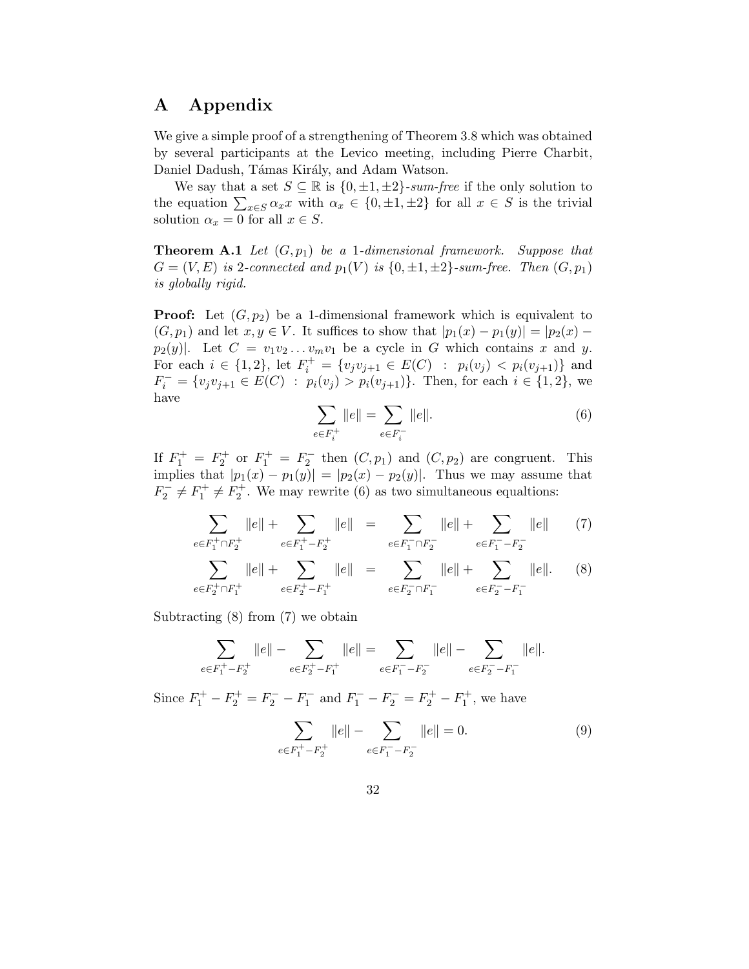# A Appendix

We give a simple proof of a strengthening of Theorem 3.8 which was obtained by several participants at the Levico meeting, including Pierre Charbit, Daniel Dadush, Támas Király, and Adam Watson.

We say that a set  $S \subseteq \mathbb{R}$  is  $\{0, \pm 1, \pm 2\}$ -sum-free if the only solution to the equation  $\sum_{x \in S} \alpha_x x$  with  $\alpha_x \in \{0, \pm 1, \pm 2\}$  for all  $x \in S$  is the trivial solution  $\alpha_x = 0$  for all  $x \in S$ .

**Theorem A.1** Let  $(G, p_1)$  be a 1-dimensional framework. Suppose that  $G = (V, E)$  is 2-connected and  $p_1(V)$  is  $\{0, \pm 1, \pm 2\}$ -sum-free. Then  $(G, p_1)$ is globally rigid.

**Proof:** Let  $(G, p_2)$  be a 1-dimensional framework which is equivalent to  $(G, p_1)$  and let  $x, y \in V$ . It suffices to show that  $|p_1(x) - p_1(y)| = |p_2(x) - p_2(y)|$  $p_2(y)$ . Let  $C = v_1v_2...v_mv_1$  be a cycle in G which contains x and y. For each  $i \in \{1,2\}$ , let  $F_i^+ = \{v_j v_{j+1} \in E(C) : p_i(v_j) < p_i(v_{j+1})\}$  and  $F_i^- = \{v_jv_{j+1} \in E(C) : p_i(v_j) > p_i(v_{j+1})\}.$  Then, for each  $i \in \{1,2\}$ , we have

$$
\sum_{e \in F_i^+} ||e|| = \sum_{e \in F_i^-} ||e||. \tag{6}
$$

If  $F_1^+ = F_2^+$  or  $F_1^+ = F_2^-$  then  $(C, p_1)$  and  $(C, p_2)$  are congruent. This implies that  $|p_1(x) - p_1(y)| = |p_2(x) - p_2(y)|$ . Thus we may assume that  $F_2^- \neq F_1^+ \neq F_2^+$ . We may rewrite (6) as two simultaneous equaltions:

$$
\sum_{e \in F_1^+ \cap F_2^+} \|e\| + \sum_{e \in F_1^+ - F_2^+} \|e\| = \sum_{e \in F_1^- \cap F_2^-} \|e\| + \sum_{e \in F_1^- - F_2^-} \|e\| \tag{7}
$$

$$
\sum_{e \in F_2^+ \cap F_1^+} ||e|| + \sum_{e \in F_2^+ - F_1^+} ||e|| = \sum_{e \in F_2^- \cap F_1^-} ||e|| + \sum_{e \in F_2^- - F_1^-} ||e||. \tag{8}
$$

Subtracting (8) from (7) we obtain

$$
\sum_{e \in F_1^+ - F_2^+} \|e\| - \sum_{e \in F_2^+ - F_1^+} \|e\| = \sum_{e \in F_1^- - F_2^-} \|e\| - \sum_{e \in F_2^- - F_1^-} \|e\|.
$$

Since  $F_1^+ - F_2^+ = F_2^- - F_1^-$  and  $F_1^- - F_2^- = F_2^+ - F_1^+$ , we have

$$
\sum_{e \in F_1^+ - F_2^+} \|e\| - \sum_{e \in F_1^- - F_2^-} \|e\| = 0.
$$
\n(9)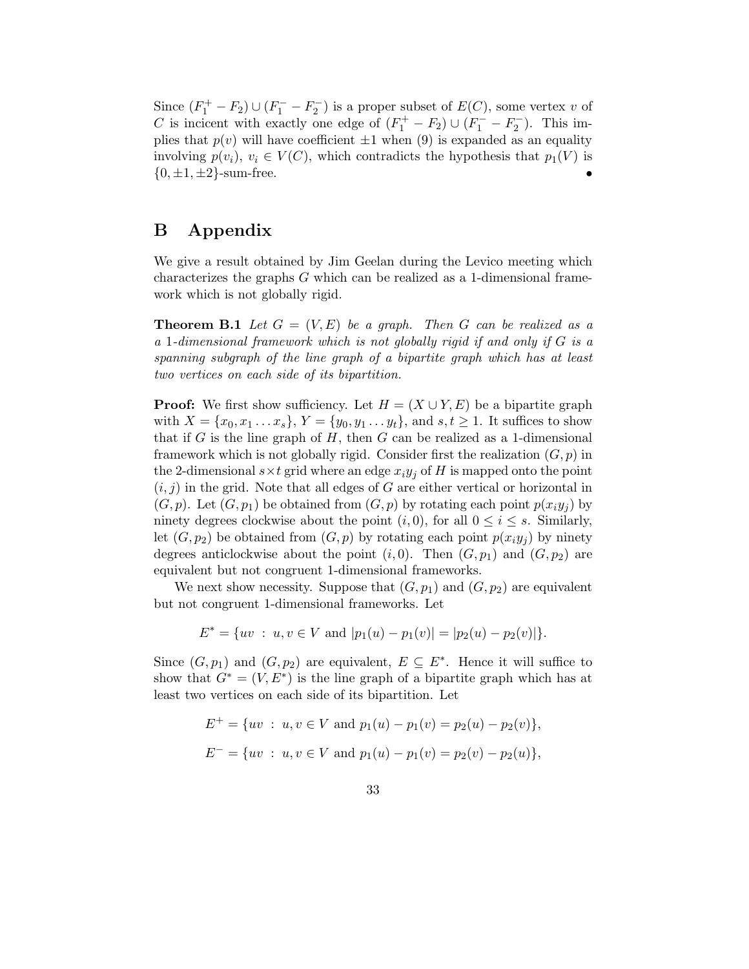Since  $(F_1^+ - F_2) \cup (F_1^- - F_2^-)$  is a proper subset of  $E(C)$ , some vertex v of C is incicent with exactly one edge of  $(F_1^+ - F_2) \cup (F_1^- - F_2^-)$ . This implies that  $p(v)$  will have coefficient  $\pm 1$  when (9) is expanded as an equality involving  $p(v_i)$ ,  $v_i \in V(C)$ , which contradicts the hypothesis that  $p_1(V)$  is  $\{0, \pm 1, \pm 2\}$ -sum-free.

# B Appendix

We give a result obtained by Jim Geelan during the Levico meeting which characterizes the graphs G which can be realized as a 1-dimensional framework which is not globally rigid.

**Theorem B.1** Let  $G = (V, E)$  be a graph. Then G can be realized as a a 1-dimensional framework which is not globally rigid if and only if G is a spanning subgraph of the line graph of a bipartite graph which has at least two vertices on each side of its bipartition.

**Proof:** We first show sufficiency. Let  $H = (X \cup Y, E)$  be a bipartite graph with  $X = \{x_0, x_1, \ldots, x_s\}, Y = \{y_0, y_1, \ldots, y_t\}, \text{ and } s, t \geq 1.$  It suffices to show that if  $G$  is the line graph of  $H$ , then  $G$  can be realized as a 1-dimensional framework which is not globally rigid. Consider first the realization  $(G, p)$  in the 2-dimensional  $s \times t$  grid where an edge  $x_i y_j$  of H is mapped onto the point  $(i, j)$  in the grid. Note that all edges of G are either vertical or horizontal in  $(G, p)$ . Let  $(G, p_1)$  be obtained from  $(G, p)$  by rotating each point  $p(x_i y_j)$  by ninety degrees clockwise about the point  $(i, 0)$ , for all  $0 \le i \le s$ . Similarly, let  $(G, p_2)$  be obtained from  $(G, p)$  by rotating each point  $p(x_i y_j)$  by ninety degrees anticlockwise about the point  $(i, 0)$ . Then  $(G, p_1)$  and  $(G, p_2)$  are equivalent but not congruent 1-dimensional frameworks.

We next show necessity. Suppose that  $(G, p_1)$  and  $(G, p_2)$  are equivalent but not congruent 1-dimensional frameworks. Let

$$
E^* = \{ uv : u, v \in V \text{ and } |p_1(u) - p_1(v)| = |p_2(u) - p_2(v)| \}.
$$

Since  $(G, p_1)$  and  $(G, p_2)$  are equivalent,  $E \subseteq E^*$ . Hence it will suffice to show that  $G^* = (V, E^*)$  is the line graph of a bipartite graph which has at least two vertices on each side of its bipartition. Let

$$
E^+ = \{ uv : u, v \in V \text{ and } p_1(u) - p_1(v) = p_2(u) - p_2(v) \},
$$
  

$$
E^- = \{ uv : u, v \in V \text{ and } p_1(u) - p_1(v) = p_2(v) - p_2(u) \},
$$